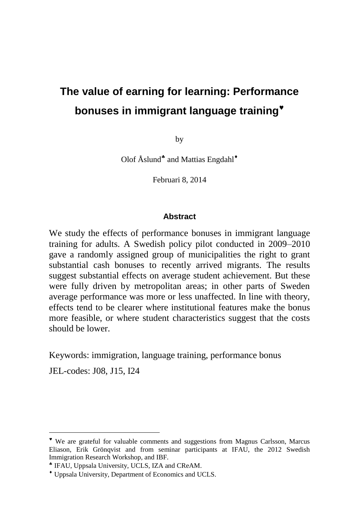# **The value of earning for learning: Performance bonuses in immigrant language training**

by

Olof Åslund<sup>\*</sup> and Mattias Engdahl<sup>\*</sup>

Februari 8, 2014

#### **Abstract**

We study the effects of performance bonuses in immigrant language training for adults. A Swedish policy pilot conducted in 2009–2010 gave a randomly assigned group of municipalities the right to grant substantial cash bonuses to recently arrived migrants. The results suggest substantial effects on average student achievement. But these were fully driven by metropolitan areas; in other parts of Sweden average performance was more or less unaffected. In line with theory, effects tend to be clearer where institutional features make the bonus more feasible, or where student characteristics suggest that the costs should be lower.

Keywords: immigration, language training, performance bonus

JEL-codes: J08, J15, I24

We are grateful for valuable comments and suggestions from Magnus Carlsson, Marcus Eliason, Erik Grönqvist and from seminar participants at IFAU, the 2012 Swedish Immigration Research Workshop, and IBF.

IFAU, Uppsala University, UCLS, IZA and CReAM.

Uppsala University, Department of Economics and UCLS.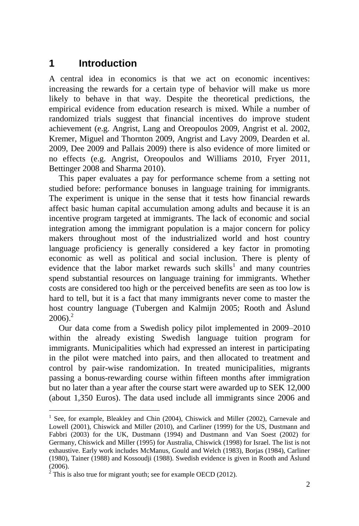## **1 Introduction**

A central idea in economics is that we act on economic incentives: increasing the rewards for a certain type of behavior will make us more likely to behave in that way. Despite the theoretical predictions, the empirical evidence from education research is mixed. While a number of randomized trials suggest that financial incentives do improve student achievement (e.g. Angrist, Lang and Oreopoulos 2009, Angrist et al. 2002, Kremer, Miguel and Thornton 2009, Angrist and Lavy 2009, Dearden et al. 2009, Dee 2009 and Pallais 2009) there is also evidence of more limited or no effects (e.g. Angrist, Oreopoulos and Williams 2010, Fryer 2011, Bettinger 2008 and Sharma 2010).

This paper evaluates a pay for performance scheme from a setting not studied before: performance bonuses in language training for immigrants. The experiment is unique in the sense that it tests how financial rewards affect basic human capital accumulation among adults and because it is an incentive program targeted at immigrants. The lack of economic and social integration among the immigrant population is a major concern for policy makers throughout most of the industrialized world and host country language proficiency is generally considered a key factor in promoting economic as well as political and social inclusion. There is plenty of evidence that the labor market rewards such skills<sup>1</sup> and many countries spend substantial resources on language training for immigrants. Whether costs are considered too high or the perceived benefits are seen as too low is hard to tell, but it is a fact that many immigrants never come to master the host country language (Tubergen and Kalmijn 2005; Rooth and Åslund  $2006$ )<sup>2</sup>

Our data come from a Swedish policy pilot implemented in 2009–2010 within the already existing Swedish language tuition program for immigrants. Municipalities which had expressed an interest in participating in the pilot were matched into pairs, and then allocated to treatment and control by pair-wise randomization. In treated municipalities, migrants passing a bonus-rewarding course within fifteen months after immigration but no later than a year after the course start were awarded up to SEK 12,000 (about 1,350 Euros). The data used include all immigrants since 2006 and

<sup>1</sup> See, for example, Bleakley and Chin (2004), Chiswick and Miller (2002), Carnevale and Lowell (2001), Chiswick and Miller (2010), and Carliner (1999) for the US, Dustmann and Fabbri (2003) for the UK, Dustmann (1994) and Dustmann and Van Soest (2002) for Germany, Chiswick and Miller (1995) for Australia, Chiswick (1998) for Israel. The list is not exhaustive. Early work includes McManus, Gould and Welch (1983), Borjas (1984), Carliner (1980), Tainer (1988) and Kossoudji (1988). Swedish evidence is given in Rooth and Åslund  $(2006)$ .

 $2$  This is also true for migrant youth; see for example OECD (2012).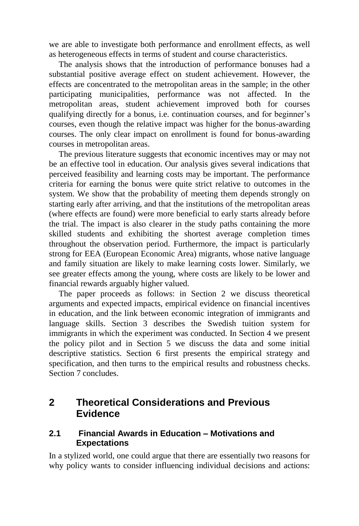we are able to investigate both performance and enrollment effects, as well as heterogeneous effects in terms of student and course characteristics.

The analysis shows that the introduction of performance bonuses had a substantial positive average effect on student achievement. However, the effects are concentrated to the metropolitan areas in the sample; in the other participating municipalities, performance was not affected. In the metropolitan areas, student achievement improved both for courses qualifying directly for a bonus, i.e. continuation courses, and for beginner's courses, even though the relative impact was higher for the bonus-awarding courses. The only clear impact on enrollment is found for bonus-awarding courses in metropolitan areas.

The previous literature suggests that economic incentives may or may not be an effective tool in education. Our analysis gives several indications that perceived feasibility and learning costs may be important. The performance criteria for earning the bonus were quite strict relative to outcomes in the system. We show that the probability of meeting them depends strongly on starting early after arriving, and that the institutions of the metropolitan areas (where effects are found) were more beneficial to early starts already before the trial. The impact is also clearer in the study paths containing the more skilled students and exhibiting the shortest average completion times throughout the observation period. Furthermore, the impact is particularly strong for EEA (European Economic Area) migrants, whose native language and family situation are likely to make learning costs lower. Similarly, we see greater effects among the young, where costs are likely to be lower and financial rewards arguably higher valued.

The paper proceeds as follows: in Section 2 we discuss theoretical arguments and expected impacts, empirical evidence on financial incentives in education, and the link between economic integration of immigrants and language skills. Section 3 describes the Swedish tuition system for immigrants in which the experiment was conducted. In Section 4 we present the policy pilot and in Section 5 we discuss the data and some initial descriptive statistics. Section 6 first presents the empirical strategy and specification, and then turns to the empirical results and robustness checks. Section 7 concludes.

## **2 Theoretical Considerations and Previous Evidence**

#### **2.1 Financial Awards in Education – Motivations and Expectations**

In a stylized world, one could argue that there are essentially two reasons for why policy wants to consider influencing individual decisions and actions: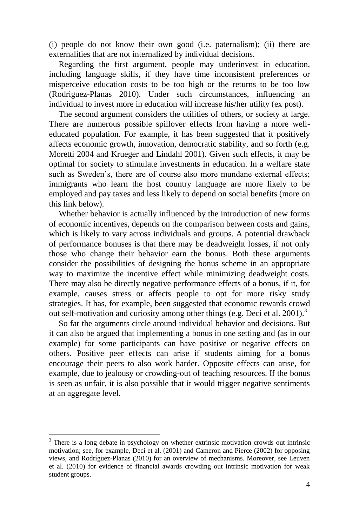(i) people do not know their own good (i.e. paternalism); (ii) there are externalities that are not internalized by individual decisions.

Regarding the first argument, people may underinvest in education, including language skills, if they have time inconsistent preferences or misperceive education costs to be too high or the returns to be too low (Rodriguez-Planas 2010). Under such circumstances, influencing an individual to invest more in education will increase his/her utility (ex post).

The second argument considers the utilities of others, or society at large. There are numerous possible spillover effects from having a more welleducated population. For example, it has been suggested that it positively affects economic growth, innovation, democratic stability, and so forth (e.g. Moretti 2004 and Krueger and Lindahl 2001). Given such effects, it may be optimal for society to stimulate investments in education. In a welfare state such as Sweden's, there are of course also more mundane external effects; immigrants who learn the host country language are more likely to be employed and pay taxes and less likely to depend on social benefits (more on this link below).

Whether behavior is actually influenced by the introduction of new forms of economic incentives, depends on the comparison between costs and gains, which is likely to vary across individuals and groups. A potential drawback of performance bonuses is that there may be deadweight losses, if not only those who change their behavior earn the bonus. Both these arguments consider the possibilities of designing the bonus scheme in an appropriate way to maximize the incentive effect while minimizing deadweight costs. There may also be directly negative performance effects of a bonus, if it, for example, causes stress or affects people to opt for more risky study strategies. It has, for example, been suggested that economic rewards crowd out self-motivation and curiosity among other things (e.g. Deci et al. 2001).<sup>3</sup>

So far the arguments circle around individual behavior and decisions. But it can also be argued that implementing a bonus in one setting and (as in our example) for some participants can have positive or negative effects on others. Positive peer effects can arise if students aiming for a bonus encourage their peers to also work harder. Opposite effects can arise, for example, due to jealousy or crowding-out of teaching resources. If the bonus is seen as unfair, it is also possible that it would trigger negative sentiments at an aggregate level.

<sup>&</sup>lt;sup>3</sup> There is a long debate in psychology on whether extrinsic motivation crowds out intrinsic motivation; see, for example, Deci et al. (2001) and Cameron and Pierce (2002) for opposing views, and Rodríguez-Planas (2010) for an overview of mechanisms. Moreover, see Leuven et al. (2010) for evidence of financial awards crowding out intrinsic motivation for weak student groups.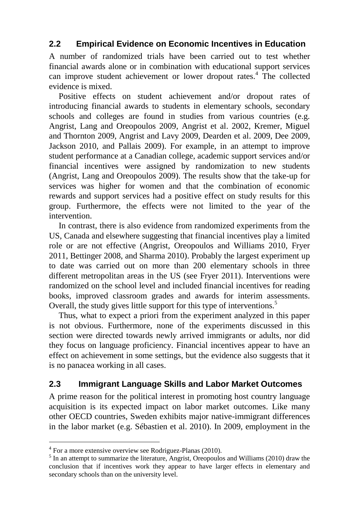### **2.2 Empirical Evidence on Economic Incentives in Education**

A number of randomized trials have been carried out to test whether financial awards alone or in combination with educational support services can improve student achievement or lower dropout rates.<sup>4</sup> The collected evidence is mixed.

Positive effects on student achievement and/or dropout rates of introducing financial awards to students in elementary schools, secondary schools and colleges are found in studies from various countries (e.g. Angrist, Lang and Oreopoulos 2009, Angrist et al. 2002, Kremer, Miguel and Thornton 2009, Angrist and Lavy 2009, Dearden et al. 2009, Dee 2009, Jackson 2010, and Pallais 2009). For example, in an attempt to improve student performance at a Canadian college, academic support services and/or financial incentives were assigned by randomization to new students (Angrist, Lang and Oreopoulos 2009). The results show that the take-up for services was higher for women and that the combination of economic rewards and support services had a positive effect on study results for this group. Furthermore, the effects were not limited to the year of the intervention.

In contrast, there is also evidence from randomized experiments from the US, Canada and elsewhere suggesting that financial incentives play a limited role or are not effective (Angrist, Oreopoulos and Williams 2010, Fryer 2011, Bettinger 2008, and Sharma 2010). Probably the largest experiment up to date was carried out on more than 200 elementary schools in three different metropolitan areas in the US (see Fryer 2011). Interventions were randomized on the school level and included financial incentives for reading books, improved classroom grades and awards for interim assessments. Overall, the study gives little support for this type of interventions.<sup>5</sup>

Thus, what to expect a priori from the experiment analyzed in this paper is not obvious. Furthermore, none of the experiments discussed in this section were directed towards newly arrived immigrants or adults, nor did they focus on language proficiency. Financial incentives appear to have an effect on achievement in some settings, but the evidence also suggests that it is no panacea working in all cases.

### **2.3 Immigrant Language Skills and Labor Market Outcomes**

A prime reason for the political interest in promoting host country language acquisition is its expected impact on labor market outcomes. Like many other OECD countries, Sweden exhibits major native-immigrant differences in the labor market (e.g. Sébastien et al. 2010). In 2009, employment in the

<sup>&</sup>lt;sup>4</sup> For a more extensive overview see Rodriguez-Planas (2010).

 $<sup>5</sup>$  In an attempt to summarize the literature, Angrist, Oreopoulos and Williams (2010) draw the</sup> conclusion that if incentives work they appear to have larger effects in elementary and secondary schools than on the university level.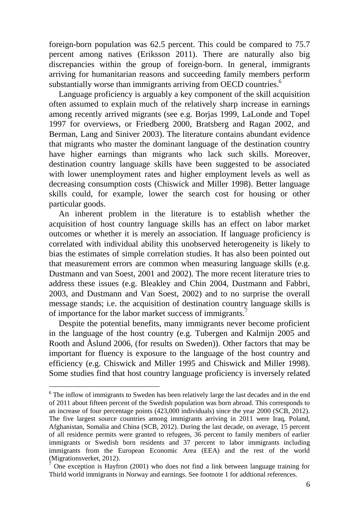foreign-born population was 62.5 percent. This could be compared to 75.7 percent among natives (Eriksson 2011). There are naturally also big discrepancies within the group of foreign-born. In general, immigrants arriving for humanitarian reasons and succeeding family members perform substantially worse than immigrants arriving from OECD countries.<sup>6</sup>

Language proficiency is arguably a key component of the skill acquisition often assumed to explain much of the relatively sharp increase in earnings among recently arrived migrants (see e.g. Borjas 1999, LaLonde and Topel 1997 for overviews, or Friedberg 2000, Bratsberg and Ragan 2002, and Berman, Lang and Siniver 2003). The literature contains abundant evidence that migrants who master the dominant language of the destination country have higher earnings than migrants who lack such skills. Moreover, destination country language skills have been suggested to be associated with lower unemployment rates and higher employment levels as well as decreasing consumption costs (Chiswick and Miller 1998). Better language skills could, for example, lower the search cost for housing or other particular goods.

An inherent problem in the literature is to establish whether the acquisition of host country language skills has an effect on labor market outcomes or whether it is merely an association. If language proficiency is correlated with individual ability this unobserved heterogeneity is likely to bias the estimates of simple correlation studies. It has also been pointed out that measurement errors are common when measuring language skills (e.g. Dustmann and van Soest, 2001 and 2002). The more recent literature tries to address these issues (e.g. Bleakley and Chin 2004, Dustmann and Fabbri, 2003, and Dustmann and Van Soest, 2002) and to no surprise the overall message stands; i.e. the acquisition of destination country language skills is of importance for the labor market success of immigrants.<sup>7</sup>

Despite the potential benefits, many immigrants never become proficient in the language of the host country (e.g. Tubergen and Kalmijn 2005 and Rooth and Åslund 2006, (for results on Sweden)). Other factors that may be important for fluency is exposure to the language of the host country and efficiency (e.g. Chiswick and Miller 1995 and Chiswick and Miller 1998). Some studies find that host country language proficiency is inversely related

 $6$  The inflow of immigrants to Sweden has been relatively large the last decades and in the end of 2011 about fifteen percent of the Swedish population was born abroad. This corresponds to an increase of four percentage points (423,000 individuals) since the year 2000 (SCB, 2012). The five largest source countries among immigrants arriving in 2011 were Iraq, Poland, Afghanistan, Somalia and China (SCB, 2012). During the last decade, on average, 15 percent of all residence permits were granted to refugees, 36 percent to family members of earlier immigrants or Swedish born residents and 37 percent to labor immigrants including immigrants from the European Economic Area (EEA) and the rest of the world (Migrationsverket, 2012).

<sup>&</sup>lt;sup>7</sup> One exception is Hayfron (2001) who does not find a link between language training for Thirld world immigrants in Norway and earnings. See footnote 1 for addtional references.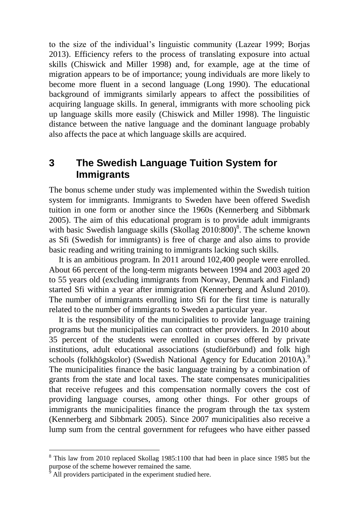to the size of the individual's linguistic community (Lazear 1999; Borjas 2013). Efficiency refers to the process of translating exposure into actual skills (Chiswick and Miller 1998) and, for example, age at the time of migration appears to be of importance; young individuals are more likely to become more fluent in a second language (Long 1990). The educational background of immigrants similarly appears to affect the possibilities of acquiring language skills. In general, immigrants with more schooling pick up language skills more easily (Chiswick and Miller 1998). The linguistic distance between the native language and the dominant language probably also affects the pace at which language skills are acquired.

## **3 The Swedish Language Tuition System for Immigrants**

The bonus scheme under study was implemented within the Swedish tuition system for immigrants. Immigrants to Sweden have been offered Swedish tuition in one form or another since the 1960s (Kennerberg and Sibbmark 2005). The aim of this educational program is to provide adult immigrants with basic Swedish language skills (Skollag  $2010:800$ )<sup>8</sup>. The scheme known as Sfi (Swedish for immigrants) is free of charge and also aims to provide basic reading and writing training to immigrants lacking such skills.

It is an ambitious program. In 2011 around 102,400 people were enrolled. About 66 percent of the long-term migrants between 1994 and 2003 aged 20 to 55 years old (excluding immigrants from Norway, Denmark and Finland) started Sfi within a year after immigration (Kennerberg and Åslund 2010). The number of immigrants enrolling into Sfi for the first time is naturally related to the number of immigrants to Sweden a particular year.

It is the responsibility of the municipalities to provide language training programs but the municipalities can contract other providers. In 2010 about 35 percent of the students were enrolled in courses offered by private institutions, adult educational associations (studieförbund) and folk high schools (folkhögskolor) (Swedish National Agency for Education 2010A).<sup>9</sup> The municipalities finance the basic language training by a combination of grants from the state and local taxes. The state compensates municipalities that receive refugees and this compensation normally covers the cost of providing language courses, among other things. For other groups of immigrants the municipalities finance the program through the tax system (Kennerberg and Sibbmark 2005). Since 2007 municipalities also receive a lump sum from the central government for refugees who have either passed

<sup>8</sup> This law from 2010 replaced Skollag 1985:1100 that had been in place since 1985 but the purpose of the scheme however remained the same.

All providers participated in the experiment studied here.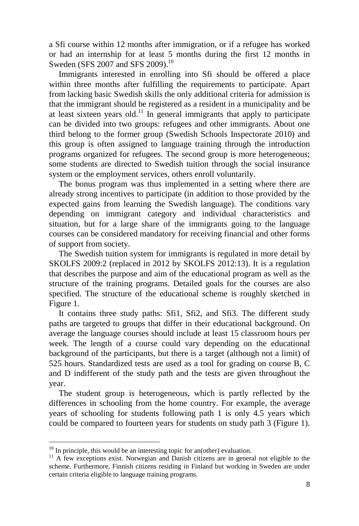a Sfi course within 12 months after immigration, or if a refugee has worked or had an internship for at least 5 months during the first 12 months in Sweden (SFS 2007 and SFS 2009).<sup>10</sup>

Immigrants interested in enrolling into Sfi should be offered a place within three months after fulfilling the requirements to participate. Apart from lacking basic Swedish skills the only additional criteria for admission is that the immigrant should be registered as a resident in a municipality and be at least sixteen years old.<sup>11</sup> In general immigrants that apply to participate can be divided into two groups: refugees and other immigrants. About one third belong to the former group (Swedish Schools Inspectorate 2010) and this group is often assigned to language training through the introduction programs organized for refugees. The second group is more heterogeneous; some students are directed to Swedish tuition through the social insurance system or the employment services, others enroll voluntarily.

The bonus program was thus implemented in a setting where there are already strong incentives to participate (in addition to those provided by the expected gains from learning the Swedish language). The conditions vary depending on immigrant category and individual characteristics and situation, but for a large share of the immigrants going to the language courses can be considered mandatory for receiving financial and other forms of support from society.

The Swedish tuition system for immigrants is regulated in more detail by SKOLFS 2009:2 (replaced in 2012 by SKOLFS 2012:13). It is a regulation that describes the purpose and aim of the educational program as well as the structure of the training programs. Detailed goals for the courses are also specified. The structure of the educational scheme is roughly sketched in Figure 1.

It contains three study paths: Sfi1, Sfi2, and Sfi3. The different study paths are targeted to groups that differ in their educational background. On average the language courses should include at least 15 classroom hours per week. The length of a course could vary depending on the educational background of the participants, but there is a target (although not a limit) of 525 hours. Standardized tests are used as a tool for grading on course B, C and D indifferent of the study path and the tests are given throughout the year.

The student group is heterogeneous, which is partly reflected by the differences in schooling from the home country. For example, the average years of schooling for students following path 1 is only 4.5 years which could be compared to fourteen years for students on study path 3 (Figure 1).

 $10$  In principle, this would be an interesting topic for an(other) evaluation.

<sup>&</sup>lt;sup>11</sup> A few exceptions exist. Norwegian and Danish citizens are in general not eligible to the scheme. Furthermore, Finnish citizens residing in Finland but working in Sweden are under certain criteria eligible to language training programs.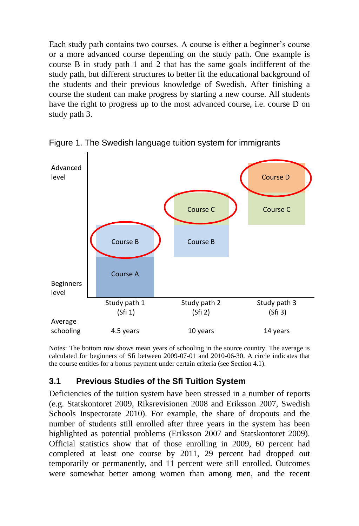Each study path contains two courses. A course is either a beginner's course or a more advanced course depending on the study path. One example is course B in study path 1 and 2 that has the same goals indifferent of the study path, but different structures to better fit the educational background of the students and their previous knowledge of Swedish. After finishing a course the student can make progress by starting a new course. All students have the right to progress up to the most advanced course, i.e. course D on study path 3.



Figure 1. The Swedish language tuition system for immigrants

Notes: The bottom row shows mean years of schooling in the source country. The average is calculated for beginners of Sfi between 2009-07-01 and 2010-06-30. A circle indicates that the course entitles for a bonus payment under certain criteria (see Section 4.1).

### **3.1 Previous Studies of the Sfi Tuition System**

Deficiencies of the tuition system have been stressed in a number of reports (e.g. Statskontoret 2009, Riksrevisionen 2008 and Eriksson 2007, Swedish Schools Inspectorate 2010). For example, the share of dropouts and the number of students still enrolled after three years in the system has been highlighted as potential problems (Eriksson 2007 and Statskontoret 2009). Official statistics show that of those enrolling in 2009, 60 percent had completed at least one course by 2011, 29 percent had dropped out temporarily or permanently, and 11 percent were still enrolled. Outcomes were somewhat better among women than among men, and the recent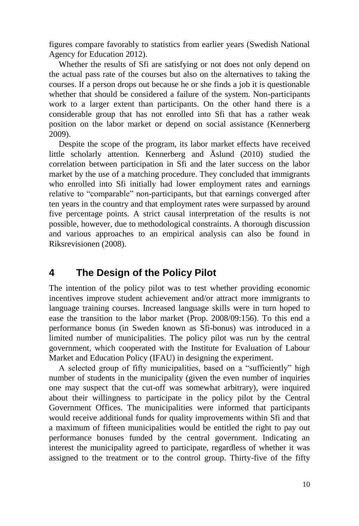figures compare favorably to statistics from earlier years (Swedish National Agency for Education 2012).

Whether the results of Sfi are satisfying or not does not only depend on the actual pass rate of the courses but also on the alternatives to taking the courses. If a person drops out because he or she finds a job it is questionable whether that should be considered a failure of the system. Non-participants work to a larger extent than participants. On the other hand there is a considerable group that has not enrolled into Sfi that has a rather weak position on the labor market or depend on social assistance (Kennerberg 2009).

Despite the scope of the program, its labor market effects have received little scholarly attention. Kennerberg and Åslund (2010) studied the correlation between participation in Sfi and the later success on the labor market by the use of a matching procedure. They concluded that immigrants who enrolled into Sfi initially had lower employment rates and earnings relative to "comparable" non-participants, but that earnings converged after ten years in the country and that employment rates were surpassed by around five percentage points. A strict causal interpretation of the results is not possible, however, due to methodological constraints. A thorough discussion and various approaches to an empirical analysis can also be found in Riksrevisionen (2008).

## **4 The Design of the Policy Pilot**

The intention of the policy pilot was to test whether providing economic incentives improve student achievement and/or attract more immigrants to language training courses. Increased language skills were in turn hoped to ease the transition to the labor market (Prop. 2008/09:156). To this end a performance bonus (in Sweden known as Sfi-bonus) was introduced in a limited number of municipalities. The policy pilot was run by the central government, which cooperated with the Institute for Evaluation of Labour Market and Education Policy (IFAU) in designing the experiment.

A selected group of fifty municipalities, based on a "sufficiently" high number of students in the municipality (given the even number of inquiries one may suspect that the cut-off was somewhat arbitrary), were inquired about their willingness to participate in the policy pilot by the Central Government Offices. The municipalities were informed that participants would receive additional funds for quality improvements within Sfi and that a maximum of fifteen municipalities would be entitled the right to pay out performance bonuses funded by the central government. Indicating an interest the municipality agreed to participate, regardless of whether it was assigned to the treatment or to the control group. Thirty-five of the fifty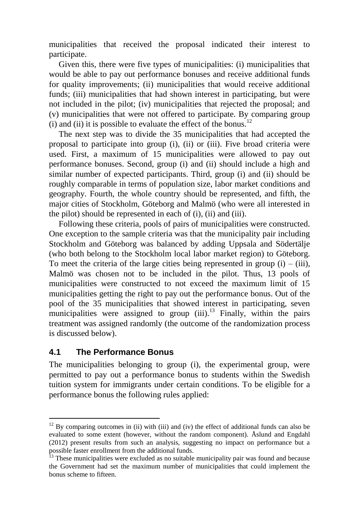municipalities that received the proposal indicated their interest to participate.

Given this, there were five types of municipalities: (i) municipalities that would be able to pay out performance bonuses and receive additional funds for quality improvements; (ii) municipalities that would receive additional funds; (iii) municipalities that had shown interest in participating, but were not included in the pilot; (iv) municipalities that rejected the proposal; and (v) municipalities that were not offered to participate. By comparing group (i) and (ii) it is possible to evaluate the effect of the bonus.<sup>12</sup>

The next step was to divide the 35 municipalities that had accepted the proposal to participate into group (i), (ii) or (iii). Five broad criteria were used. First, a maximum of 15 municipalities were allowed to pay out performance bonuses. Second, group (i) and (ii) should include a high and similar number of expected participants. Third, group (i) and (ii) should be roughly comparable in terms of population size, labor market conditions and geography. Fourth, the whole country should be represented, and fifth, the major cities of Stockholm, Göteborg and Malmö (who were all interested in the pilot) should be represented in each of (i), (ii) and (iii).

Following these criteria, pools of pairs of municipalities were constructed. One exception to the sample criteria was that the municipality pair including Stockholm and Göteborg was balanced by adding Uppsala and Södertälje (who both belong to the Stockholm local labor market region) to Göteborg. To meet the criteria of the large cities being represented in group  $(i) - (iii)$ , Malmö was chosen not to be included in the pilot. Thus, 13 pools of municipalities were constructed to not exceed the maximum limit of 15 municipalities getting the right to pay out the performance bonus. Out of the pool of the 35 municipalities that showed interest in participating, seven municipalities were assigned to group  $(iii)$ .<sup>13</sup> Finally, within the pairs treatment was assigned randomly (the outcome of the randomization process is discussed below).

#### **4.1 The Performance Bonus**

 $\overline{a}$ 

The municipalities belonging to group (i), the experimental group, were permitted to pay out a performance bonus to students within the Swedish tuition system for immigrants under certain conditions. To be eligible for a performance bonus the following rules applied:

 $12$  By comparing outcomes in (ii) with (iii) and (iv) the effect of additional funds can also be evaluated to some extent (however, without the random component). Åslund and Engdahl (2012) present results from such an analysis, suggesting no impact on performance but a possible faster enrollment from the additional funds.

<sup>&</sup>lt;sup>13</sup> These municipalities were excluded as no suitable municipality pair was found and because the Government had set the maximum number of municipalities that could implement the bonus scheme to fifteen.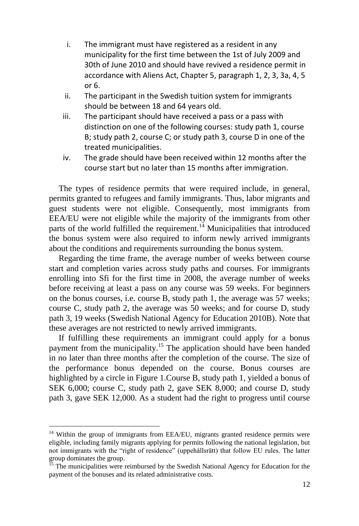- i. The immigrant must have registered as a resident in any municipality for the first time between the 1st of July 2009 and 30th of June 2010 and should have revived a residence permit in accordance with Aliens Act, Chapter 5, paragraph 1, 2, 3, 3a, 4, 5 or 6.
- ii. The participant in the Swedish tuition system for immigrants should be between 18 and 64 years old.
- iii. The participant should have received a pass or a pass with distinction on one of the following courses: study path 1, course B; study path 2, course C; or study path 3, course D in one of the treated municipalities.
- iv. The grade should have been received within 12 months after the course start but no later than 15 months after immigration.

The types of residence permits that were required include, in general, permits granted to refugees and family immigrants. Thus, labor migrants and guest students were not eligible. Consequently, most immigrants from EEA/EU were not eligible while the majority of the immigrants from other parts of the world fulfilled the requirement.<sup>14</sup> Municipalities that introduced the bonus system were also required to inform newly arrived immigrants about the conditions and requirements surrounding the bonus system.

Regarding the time frame, the average number of weeks between course start and completion varies across study paths and courses. For immigrants enrolling into Sfi for the first time in 2008, the average number of weeks before receiving at least a pass on any course was 59 weeks. For beginners on the bonus courses, i.e. course B, study path 1, the average was 57 weeks; course C, study path 2, the average was 50 weeks; and for course D, study path 3, 19 weeks (Swedish National Agency for Education 2010B). Note that these averages are not restricted to newly arrived immigrants.

If fulfilling these requirements an immigrant could apply for a bonus payment from the municipality.<sup>15</sup> The application should have been handed in no later than three months after the completion of the course. The size of the performance bonus depended on the course. Bonus courses are highlighted by a circle in Figure 1.Course B, study path 1, yielded a bonus of SEK 6,000; course C, study path 2, gave SEK 8,000; and course D, study path 3, gave SEK 12,000. As a student had the right to progress until course

<sup>&</sup>lt;sup>14</sup> Within the group of immigrants from EEA/EU, migrants granted residence permits were eligible, including family migrants applying for permits following the national legislation, but not immigrants with the "right of residence" (uppehållsrätt) that follow EU rules. The latter group dominates the group.

 $15$  The municipalities were reimbursed by the Swedish National Agency for Education for the payment of the bonuses and its related administrative costs.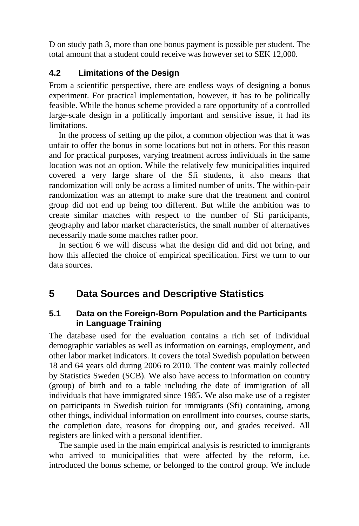D on study path 3, more than one bonus payment is possible per student. The total amount that a student could receive was however set to SEK 12,000.

#### **4.2 Limitations of the Design**

From a scientific perspective, there are endless ways of designing a bonus experiment. For practical implementation, however, it has to be politically feasible. While the bonus scheme provided a rare opportunity of a controlled large-scale design in a politically important and sensitive issue, it had its limitations.

In the process of setting up the pilot, a common objection was that it was unfair to offer the bonus in some locations but not in others. For this reason and for practical purposes, varying treatment across individuals in the same location was not an option. While the relatively few municipalities inquired covered a very large share of the Sfi students, it also means that randomization will only be across a limited number of units. The within-pair randomization was an attempt to make sure that the treatment and control group did not end up being too different. But while the ambition was to create similar matches with respect to the number of Sfi participants, geography and labor market characteristics, the small number of alternatives necessarily made some matches rather poor.

In section 6 we will discuss what the design did and did not bring, and how this affected the choice of empirical specification. First we turn to our data sources.

## **5 Data Sources and Descriptive Statistics**

#### **5.1 Data on the Foreign-Born Population and the Participants in Language Training**

The database used for the evaluation contains a rich set of individual demographic variables as well as information on earnings, employment, and other labor market indicators. It covers the total Swedish population between 18 and 64 years old during 2006 to 2010. The content was mainly collected by Statistics Sweden (SCB). We also have access to information on country (group) of birth and to a table including the date of immigration of all individuals that have immigrated since 1985. We also make use of a register on participants in Swedish tuition for immigrants (Sfi) containing, among other things, individual information on enrollment into courses, course starts, the completion date, reasons for dropping out, and grades received. All registers are linked with a personal identifier.

The sample used in the main empirical analysis is restricted to immigrants who arrived to municipalities that were affected by the reform, i.e. introduced the bonus scheme, or belonged to the control group. We include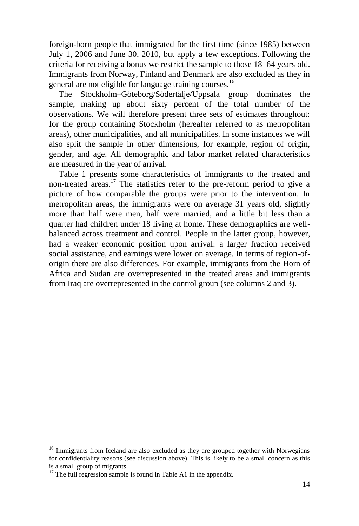foreign-born people that immigrated for the first time (since 1985) between July 1, 2006 and June 30, 2010, but apply a few exceptions. Following the criteria for receiving a bonus we restrict the sample to those 18–64 years old. Immigrants from Norway, Finland and Denmark are also excluded as they in general are not eligible for language training courses.<sup>16</sup>

The Stockholm–Göteborg/Södertälje/Uppsala group dominates the sample, making up about sixty percent of the total number of the observations. We will therefore present three sets of estimates throughout: for the group containing Stockholm (hereafter referred to as metropolitan areas), other municipalities, and all municipalities. In some instances we will also split the sample in other dimensions, for example, region of origin, gender, and age. All demographic and labor market related characteristics are measured in the year of arrival.

Table 1 presents some characteristics of immigrants to the treated and non-treated areas.<sup>17</sup> The statistics refer to the pre-reform period to give a picture of how comparable the groups were prior to the intervention. In metropolitan areas, the immigrants were on average 31 years old, slightly more than half were men, half were married, and a little bit less than a quarter had children under 18 living at home. These demographics are wellbalanced across treatment and control. People in the latter group, however, had a weaker economic position upon arrival: a larger fraction received social assistance, and earnings were lower on average. In terms of region-oforigin there are also differences. For example, immigrants from the Horn of Africa and Sudan are overrepresented in the treated areas and immigrants from Iraq are overrepresented in the control group (see columns 2 and 3).

<sup>&</sup>lt;sup>16</sup> Immigrants from Iceland are also excluded as they are grouped together with Norwegians for confidentiality reasons (see discussion above). This is likely to be a small concern as this is a small group of migrants.

 $17$  The full regression sample is found in Table A1 in the appendix.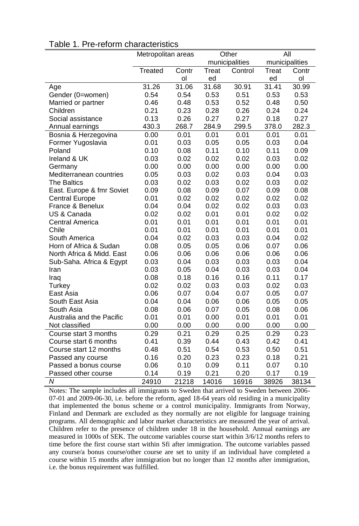|                           | Metropolitan areas |       |       | Other          | All   |                |  |
|---------------------------|--------------------|-------|-------|----------------|-------|----------------|--|
|                           |                    |       |       | municipalities |       | municipalities |  |
|                           | Treated            | Contr | Treat | Control        | Treat | Contr          |  |
|                           |                    | ol    | ed    |                | ed    | ol             |  |
| Age                       | 31.26              | 31.06 | 31.68 | 30.91          | 31.41 | 30.99          |  |
| Gender (0=women)          | 0.54               | 0.54  | 0.53  | 0.51           | 0.53  | 0.53           |  |
| Married or partner        | 0.46               | 0.48  | 0.53  | 0.52           | 0.48  | 0.50           |  |
| Children                  | 0.21               | 0.23  | 0.28  | 0.26           | 0.24  | 0.24           |  |
| Social assistance         | 0.13               | 0.26  | 0.27  | 0.27           | 0.18  | 0.27           |  |
| Annual earnings           | 430.3              | 268.7 | 284.9 | 299.5          | 378.0 | 282.3          |  |
| Bosnia & Herzegovina      | 0.00               | 0.01  | 0.01  | 0.01           | 0.01  | 0.01           |  |
| Former Yugoslavia         | 0.01               | 0.03  | 0.05  | 0.05           | 0.03  | 0.04           |  |
| Poland                    | 0.10               | 0.08  | 0.11  | 0.10           | 0.11  | 0.09           |  |
| Ireland & UK              | 0.03               | 0.02  | 0.02  | 0.02           | 0.03  | 0.02           |  |
| Germany                   | 0.00               | 0.00  | 0.00  | 0.00           | 0.00  | 0.00           |  |
| Mediterranean countries   | 0.05               | 0.03  | 0.02  | 0.03           | 0.04  | 0.03           |  |
| <b>The Baltics</b>        | 0.03               | 0.02  | 0.03  | 0.02           | 0.03  | 0.02           |  |
| East. Europe & fmr Soviet | 0.09               | 0.08  | 0.09  | 0.07           | 0.09  | 0.08           |  |
| <b>Central Europe</b>     | 0.01               | 0.02  | 0.02  | 0.02           | 0.02  | 0.02           |  |
| France & Benelux          | 0.04               | 0.04  | 0.02  | 0.02           | 0.03  | 0.03           |  |
| US & Canada               | 0.02               | 0.02  | 0.01  | 0.01           | 0.02  | 0.02           |  |
| <b>Central America</b>    | 0.01               | 0.01  | 0.01  | 0.01           | 0.01  | 0.01           |  |
| Chile                     | 0.01               | 0.01  | 0.01  | 0.01           | 0.01  | 0.01           |  |
| South America             | 0.04               | 0.02  | 0.03  | 0.03           | 0.04  | 0.02           |  |
| Horn of Africa & Sudan    | 0.08               | 0.05  | 0.05  | 0.06           | 0.07  | 0.06           |  |
| North Africa & Midd. East | 0.06               | 0.06  | 0.06  | 0.06           | 0.06  | 0.06           |  |
| Sub-Saha. Africa & Egypt  | 0.03               | 0.04  | 0.03  | 0.03           | 0.03  | 0.04           |  |
| Iran                      | 0.03               | 0.05  | 0.04  | 0.03           | 0.03  | 0.04           |  |
| Iraq                      | 0.08               | 0.18  | 0.16  | 0.16           | 0.11  | 0.17           |  |
| Turkey                    | 0.02               | 0.02  | 0.03  | 0.03           | 0.02  | 0.03           |  |
| East Asia                 | 0.06               | 0.07  | 0.04  | 0.07           | 0.05  | 0.07           |  |
| South East Asia           | 0.04               | 0.04  | 0.06  | 0.06           | 0.05  | 0.05           |  |
| South Asia                | 0.08               | 0.06  | 0.07  | 0.05           | 0.08  | 0.06           |  |
| Australia and the Pacific | 0.01               | 0.01  | 0.00  | 0.01           | 0.01  | 0.01           |  |
| Not classified            | 0.00               | 0.00  | 0.00  | 0.00           | 0.00  | 0.00           |  |
| Course start 3 months     | 0.29               | 0.21  | 0.29  | 0.25           | 0.29  | 0.23           |  |
| Course start 6 months     | 0.41               | 0.39  | 0.44  | 0.43           | 0.42  | 0.41           |  |
| Course start 12 months    | 0.48               | 0.51  | 0.54  | 0.53           | 0.50  | 0.51           |  |
| Passed any course         | 0.16               | 0.20  | 0.23  | 0.23           | 0.18  | 0.21           |  |
| Passed a bonus course     | 0.06               | 0.10  | 0.09  | 0.11           | 0.07  | 0.10           |  |
| Passed other course       | 0.14               | 0.19  | 0.21  | 0.20           | 0.17  | 0.19           |  |
| N                         | 24910              | 21218 | 14016 | 16916          | 38926 | 38134          |  |

## Table 1. Pre-reform characteristics

Notes: The sample includes all immigrants to Sweden that arrived to Sweden between 2006- 07-01 and 2009-06-30, i.e. before the reform, aged 18-64 years old residing in a municipality that implemented the bonus scheme or a control municipality. Immigrants from Norway, Finland and Denmark are excluded as they normally are not eligible for language training programs. All demographic and labor market characteristics are measured the year of arrival. Children refer to the presence of children under 18 in the household. Annual earnings are measured in 1000s of SEK. The outcome variables course start within 3/6/12 months refers to time before the first course start within Sfi after immigration. The outcome variables passed any course/a bonus course/other course are set to unity if an individual have completed a course within 15 months after immigration but no longer than 12 months after immigration, i.e. the bonus requirement was fulfilled.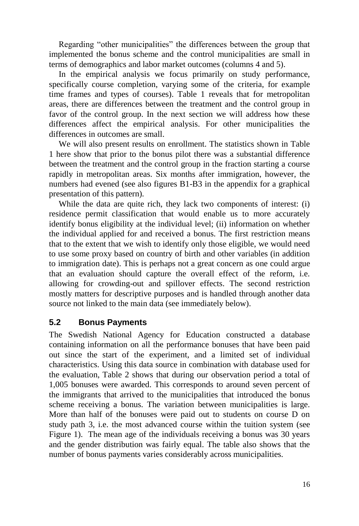Regarding "other municipalities" the differences between the group that implemented the bonus scheme and the control municipalities are small in terms of demographics and labor market outcomes (columns 4 and 5).

In the empirical analysis we focus primarily on study performance, specifically course completion, varying some of the criteria, for example time frames and types of courses). Table 1 reveals that for metropolitan areas, there are differences between the treatment and the control group in favor of the control group. In the next section we will address how these differences affect the empirical analysis. For other municipalities the differences in outcomes are small.

We will also present results on enrollment. The statistics shown in Table 1 here show that prior to the bonus pilot there was a substantial difference between the treatment and the control group in the fraction starting a course rapidly in metropolitan areas. Six months after immigration, however, the numbers had evened (see also figures B1-B3 in the appendix for a graphical presentation of this pattern).

While the data are quite rich, they lack two components of interest: (i) residence permit classification that would enable us to more accurately identify bonus eligibility at the individual level; (ii) information on whether the individual applied for and received a bonus. The first restriction means that to the extent that we wish to identify only those eligible, we would need to use some proxy based on country of birth and other variables (in addition to immigration date). This is perhaps not a great concern as one could argue that an evaluation should capture the overall effect of the reform, i.e. allowing for crowding-out and spillover effects. The second restriction mostly matters for descriptive purposes and is handled through another data source not linked to the main data (see immediately below).

#### **5.2 Bonus Payments**

The Swedish National Agency for Education constructed a database containing information on all the performance bonuses that have been paid out since the start of the experiment, and a limited set of individual characteristics. Using this data source in combination with database used for the evaluation, Table 2 shows that during our observation period a total of 1,005 bonuses were awarded. This corresponds to around seven percent of the immigrants that arrived to the municipalities that introduced the bonus scheme receiving a bonus. The variation between municipalities is large. More than half of the bonuses were paid out to students on course D on study path 3, i.e. the most advanced course within the tuition system (see Figure 1). The mean age of the individuals receiving a bonus was 30 years and the gender distribution was fairly equal. The table also shows that the number of bonus payments varies considerably across municipalities.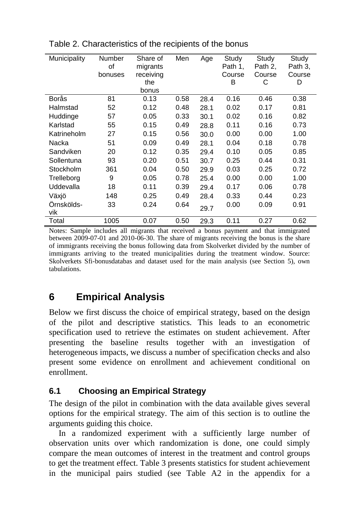| Municipality      | Number<br>of<br>bonuses | Share of<br>migrants<br>receiving<br>the<br>bonus | Men  | Age  | Study<br>Path 1.<br>Course<br>B | Study<br>Path 2.<br>Course<br>С | Study<br>Path 3.<br>Course<br>D |
|-------------------|-------------------------|---------------------------------------------------|------|------|---------------------------------|---------------------------------|---------------------------------|
| Borås             | 81                      | 0.13                                              | 0.58 | 28.4 | 0.16                            | 0.46                            | 0.38                            |
| Halmstad          | 52                      | 0.12                                              | 0.48 | 28.1 | 0.02                            | 0.17                            | 0.81                            |
| Huddinge          | 57                      | 0.05                                              | 0.33 | 30.1 | 0.02                            | 0.16                            | 0.82                            |
| Karlstad          | 55                      | 0.15                                              | 0.49 | 28.8 | 0.11                            | 0.16                            | 0.73                            |
| Katrineholm       | 27                      | 0.15                                              | 0.56 | 30.0 | 0.00                            | 0.00                            | 1.00                            |
| Nacka             | 51                      | 0.09                                              | 0.49 | 28.1 | 0.04                            | 0.18                            | 0.78                            |
| Sandviken         | 20                      | 0.12                                              | 0.35 | 29.4 | 0.10                            | 0.05                            | 0.85                            |
| Sollentuna        | 93                      | 0.20                                              | 0.51 | 30.7 | 0.25                            | 0.44                            | 0.31                            |
| Stockholm         | 361                     | 0.04                                              | 0.50 | 29.9 | 0.03                            | 0.25                            | 0.72                            |
| Trelleborg        | 9                       | 0.05                                              | 0.78 | 25.4 | 0.00                            | 0.00                            | 1.00                            |
| Uddevalla         | 18                      | 0.11                                              | 0.39 | 29.4 | 0.17                            | 0.06                            | 0.78                            |
| Växjö             | 148                     | 0.25                                              | 0.49 | 28.4 | 0.33                            | 0.44                            | 0.23                            |
| Örnskölds-<br>vik | 33                      | 0.24                                              | 0.64 | 29.7 | 0.00                            | 0.09                            | 0.91                            |
| Total             | 1005                    | 0.07                                              | 0.50 | 29.3 | 0.11                            | 0.27                            | 0.62                            |

Table 2. Characteristics of the recipients of the bonus

Notes: Sample includes all migrants that received a bonus payment and that immigrated between 2009-07-01 and 2010-06-30. The share of migrants receiving the bonus is the share of immigrants receiving the bonus following data from Skolverket divided by the number of immigrants arriving to the treated municipalities during the treatment window. Source: Skolverkets Sfi-bonusdatabas and dataset used for the main analysis (see Section 5), own tabulations.

## **6 Empirical Analysis**

Below we first discuss the choice of empirical strategy, based on the design of the pilot and descriptive statistics. This leads to an econometric specification used to retrieve the estimates on student achievement. After presenting the baseline results together with an investigation of heterogeneous impacts, we discuss a number of specification checks and also present some evidence on enrollment and achievement conditional on enrollment.

### **6.1 Choosing an Empirical Strategy**

The design of the pilot in combination with the data available gives several options for the empirical strategy. The aim of this section is to outline the arguments guiding this choice.

In a randomized experiment with a sufficiently large number of observation units over which randomization is done, one could simply compare the mean outcomes of interest in the treatment and control groups to get the treatment effect. Table 3 presents statistics for student achievement in the municipal pairs studied (see Table A2 in the appendix for a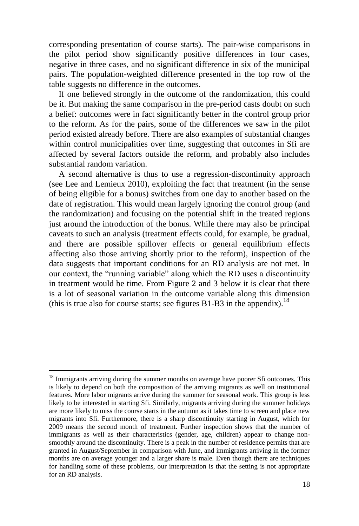corresponding presentation of course starts). The pair-wise comparisons in the pilot period show significantly positive differences in four cases, negative in three cases, and no significant difference in six of the municipal pairs. The population-weighted difference presented in the top row of the table suggests no difference in the outcomes.

If one believed strongly in the outcome of the randomization, this could be it. But making the same comparison in the pre-period casts doubt on such a belief: outcomes were in fact significantly better in the control group prior to the reform. As for the pairs, some of the differences we saw in the pilot period existed already before. There are also examples of substantial changes within control municipalities over time, suggesting that outcomes in Sfi are affected by several factors outside the reform, and probably also includes substantial random variation.

A second alternative is thus to use a regression-discontinuity approach (see Lee and Lemieux 2010), exploiting the fact that treatment (in the sense of being eligible for a bonus) switches from one day to another based on the date of registration. This would mean largely ignoring the control group (and the randomization) and focusing on the potential shift in the treated regions just around the introduction of the bonus. While there may also be principal caveats to such an analysis (treatment effects could, for example, be gradual, and there are possible spillover effects or general equilibrium effects affecting also those arriving shortly prior to the reform), inspection of the data suggests that important conditions for an RD analysis are not met. In our context, the "running variable" along which the RD uses a discontinuity in treatment would be time. From Figure 2 and 3 below it is clear that there is a lot of seasonal variation in the outcome variable along this dimension (this is true also for course starts; see figures B1-B3 in the appendix).<sup>18</sup>

 $18$  Immigrants arriving during the summer months on average have poorer Sfi outcomes. This is likely to depend on both the composition of the arriving migrants as well on institutional features. More labor migrants arrive during the summer for seasonal work. This group is less likely to be interested in starting Sfi. Similarly, migrants arriving during the summer holidays are more likely to miss the course starts in the autumn as it takes time to screen and place new migrants into Sfi. Furthermore, there is a sharp discontinuity starting in August, which for 2009 means the second month of treatment. Further inspection shows that the number of immigrants as well as their characteristics (gender, age, children) appear to change nonsmoothly around the discontinuity. There is a peak in the number of residence permits that are granted in August/September in comparison with June, and immigrants arriving in the former months are on average younger and a larger share is male. Even though there are techniques for handling some of these problems, our interpretation is that the setting is not appropriate for an RD analysis.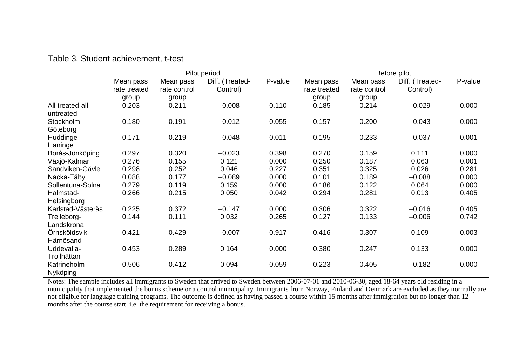|                   |              |              | Pilot period    |         | Before pilot |              |                 |         |  |
|-------------------|--------------|--------------|-----------------|---------|--------------|--------------|-----------------|---------|--|
|                   | Mean pass    | Mean pass    | Diff. (Treated- | P-value | Mean pass    | Mean pass    | Diff. (Treated- | P-value |  |
|                   | rate treated | rate control | Control)        |         | rate treated | rate control | Control)        |         |  |
|                   | group        | group        |                 |         | group        | group        |                 |         |  |
| All treated-all   | 0.203        | 0.211        | $-0.008$        | 0.110   | 0.185        | 0.214        | $-0.029$        | 0.000   |  |
| untreated         |              |              |                 |         |              |              |                 |         |  |
| Stockholm-        | 0.180        | 0.191        | $-0.012$        | 0.055   | 0.157        | 0.200        | $-0.043$        | 0.000   |  |
| Göteborg          |              |              |                 |         |              |              |                 |         |  |
| Huddinge-         | 0.171        | 0.219        | $-0.048$        | 0.011   | 0.195        | 0.233        | $-0.037$        | 0.001   |  |
| Haninge           |              |              |                 |         |              |              |                 |         |  |
| Borås-Jönköping   | 0.297        | 0.320        | $-0.023$        | 0.398   | 0.270        | 0.159        | 0.111           | 0.000   |  |
| Växjö-Kalmar      | 0.276        | 0.155        | 0.121           | 0.000   | 0.250        | 0.187        | 0.063           | 0.001   |  |
| Sandviken-Gävle   | 0.298        | 0.252        | 0.046           | 0.227   | 0.351        | 0.325        | 0.026           | 0.281   |  |
| Nacka-Täby        | 0.088        | 0.177        | $-0.089$        | 0.000   | 0.101        | 0.189        | $-0.088$        | 0.000   |  |
| Sollentuna-Solna  | 0.279        | 0.119        | 0.159           | 0.000   | 0.186        | 0.122        | 0.064           | 0.000   |  |
| Halmstad-         | 0.266        | 0.215        | 0.050           | 0.042   | 0.294        | 0.281        | 0.013           | 0.405   |  |
| Helsingborg       |              |              |                 |         |              |              |                 |         |  |
| Karlstad-Västerås | 0.225        | 0.372        | $-0.147$        | 0.000   | 0.306        | 0.322        | $-0.016$        | 0.405   |  |
| Trelleborg-       | 0.144        | 0.111        | 0.032           | 0.265   | 0.127        | 0.133        | $-0.006$        | 0.742   |  |
| Landskrona        |              |              |                 |         |              |              |                 |         |  |
| Örnsköldsvik-     | 0.421        | 0.429        | $-0.007$        | 0.917   | 0.416        | 0.307        | 0.109           | 0.003   |  |
| Härnösand         |              |              |                 |         |              |              |                 |         |  |
| Uddevalla-        | 0.453        | 0.289        | 0.164           | 0.000   | 0.380        | 0.247        | 0.133           | 0.000   |  |
| Trollhättan       |              |              |                 |         |              |              |                 |         |  |
| Katrineholm-      | 0.506        | 0.412        | 0.094           | 0.059   | 0.223        | 0.405        | $-0.182$        | 0.000   |  |
| Nyköping          |              |              |                 |         |              |              |                 |         |  |

Table 3. Student achievement, t-test

Notes: The sample includes all immigrants to Sweden that arrived to Sweden between 2006-07-01 and 2010-06-30, aged 18-64 years old residing in a municipality that implemented the bonus scheme or a control municipality. Immigrants from Norway, Finland and Denmark are excluded as they normally are not eligible for language training programs. The outcome is defined as having passed a course within 15 months after immigration but no longer than 12 months after the course start, i.e. the requirement for receiving a bonus.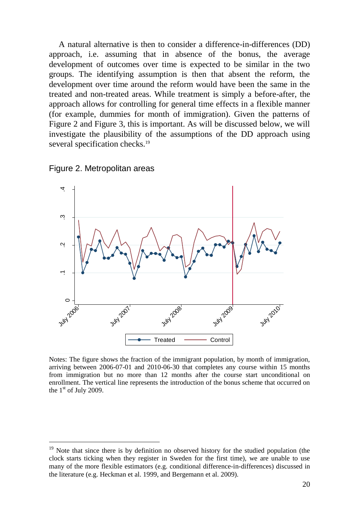A natural alternative is then to consider a difference-in-differences (DD) approach, i.e. assuming that in absence of the bonus, the average development of outcomes over time is expected to be similar in the two groups. The identifying assumption is then that absent the reform, the development over time around the reform would have been the same in the treated and non-treated areas. While treatment is simply a before-after, the approach allows for controlling for general time effects in a flexible manner (for example, dummies for month of immigration). Given the patterns of Figure 2 and Figure 3, this is important. As will be discussed below, we will investigate the plausibility of the assumptions of the DD approach using several specification checks.<sup>19</sup>



Figure 2. Metropolitan areas

Notes: The figure shows the fraction of the immigrant population, by month of immigration, arriving between 2006-07-01 and 2010-06-30 that completes any course within 15 months from immigration but no more than 12 months after the course start unconditional on enrollment. The vertical line represents the introduction of the bonus scheme that occurred on the  $1<sup>st</sup>$  of July 2009.

<sup>&</sup>lt;sup>19</sup> Note that since there is by definition no observed history for the studied population (the clock starts ticking when they register in Sweden for the first time), we are unable to use many of the more flexible estimators (e.g. conditional difference-in-differences) discussed in the literature (e.g. Heckman et al. 1999, and Bergemann et al. 2009).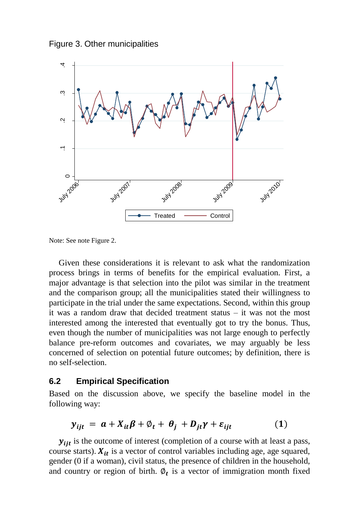Figure 3. Other municipalities



Note: See note Figure 2.

Given these considerations it is relevant to ask what the randomization process brings in terms of benefits for the empirical evaluation. First, a major advantage is that selection into the pilot was similar in the treatment and the comparison group; all the municipalities stated their willingness to participate in the trial under the same expectations. Second, within this group it was a random draw that decided treatment status – it was not the most interested among the interested that eventually got to try the bonus. Thus, even though the number of municipalities was not large enough to perfectly balance pre-reform outcomes and covariates, we may arguably be less concerned of selection on potential future outcomes; by definition, there is no self-selection.

#### **6.2 Empirical Specification**

Based on the discussion above, we specify the baseline model in the following way:

$$
y_{ijt} = a + X_{it}\beta + \varnothing_t + \theta_j + D_{it}\gamma + \varepsilon_{ijt} \tag{1}
$$

 $y_{iit}$  is the outcome of interest (completion of a course with at least a pass, course starts).  $X_{it}$  is a vector of control variables including age, age squared, gender (0 if a woman), civil status, the presence of children in the household, and country or region of birth.  $\varphi_t$  is a vector of immigration month fixed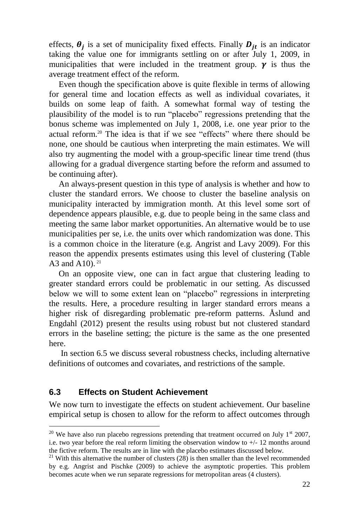effects,  $\theta_i$  is a set of municipality fixed effects. Finally  $D_{it}$  is an indicator taking the value one for immigrants settling on or after July 1, 2009, in municipalities that were included in the treatment group.  $\gamma$  is thus the average treatment effect of the reform.

Even though the specification above is quite flexible in terms of allowing for general time and location effects as well as individual covariates, it builds on some leap of faith. A somewhat formal way of testing the plausibility of the model is to run "placebo" regressions pretending that the bonus scheme was implemented on July 1, 2008, i.e. one year prior to the actual reform.<sup>20</sup> The idea is that if we see "effects" where there should be none, one should be cautious when interpreting the main estimates. We will also try augmenting the model with a group-specific linear time trend (thus allowing for a gradual divergence starting before the reform and assumed to be continuing after).

An always-present question in this type of analysis is whether and how to cluster the standard errors. We choose to cluster the baseline analysis on municipality interacted by immigration month. At this level some sort of dependence appears plausible, e.g. due to people being in the same class and meeting the same labor market opportunities. An alternative would be to use municipalities per se, i.e. the units over which randomization was done. This is a common choice in the literature (e.g. Angrist and Lavy 2009). For this reason the appendix presents estimates using this level of clustering (Table A3 and A10).  $21$ 

On an opposite view, one can in fact argue that clustering leading to greater standard errors could be problematic in our setting. As discussed below we will to some extent lean on "placebo" regressions in interpreting the results. Here, a procedure resulting in larger standard errors means a higher risk of disregarding problematic pre-reform patterns. Åslund and Engdahl (2012) present the results using robust but not clustered standard errors in the baseline setting; the picture is the same as the one presented here.

In section 6.5 we discuss several robustness checks, including alternative definitions of outcomes and covariates, and restrictions of the sample.

#### **6.3 Effects on Student Achievement**

 $\overline{a}$ 

We now turn to investigate the effects on student achievement. Our baseline empirical setup is chosen to allow for the reform to affect outcomes through

<sup>&</sup>lt;sup>20</sup> We have also run placebo regressions pretending that treatment occurred on July  $1^{st}$  2007, i.e. two year before the real reform limiting the observation window to  $+/$ -12 months around the fictive reform. The results are in line with the placebo estimates discussed below.

<sup>&</sup>lt;sup>21</sup> With this alternative the number of clusters  $(28)$  is then smaller than the level recommended by e.g. Angrist and Pischke (2009) to achieve the asymptotic properties. This problem becomes acute when we run separate regressions for metropolitan areas (4 clusters).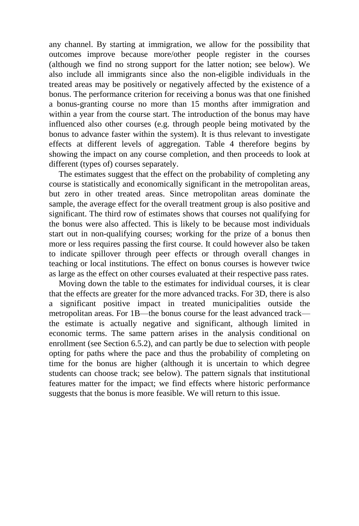any channel. By starting at immigration, we allow for the possibility that outcomes improve because more/other people register in the courses (although we find no strong support for the latter notion; see below). We also include all immigrants since also the non-eligible individuals in the treated areas may be positively or negatively affected by the existence of a bonus. The performance criterion for receiving a bonus was that one finished a bonus-granting course no more than 15 months after immigration and within a year from the course start. The introduction of the bonus may have influenced also other courses (e.g. through people being motivated by the bonus to advance faster within the system). It is thus relevant to investigate effects at different levels of aggregation. Table 4 therefore begins by showing the impact on any course completion, and then proceeds to look at different (types of) courses separately.

The estimates suggest that the effect on the probability of completing any course is statistically and economically significant in the metropolitan areas, but zero in other treated areas. Since metropolitan areas dominate the sample, the average effect for the overall treatment group is also positive and significant. The third row of estimates shows that courses not qualifying for the bonus were also affected. This is likely to be because most individuals start out in non-qualifying courses; working for the prize of a bonus then more or less requires passing the first course. It could however also be taken to indicate spillover through peer effects or through overall changes in teaching or local institutions. The effect on bonus courses is however twice as large as the effect on other courses evaluated at their respective pass rates.

Moving down the table to the estimates for individual courses, it is clear that the effects are greater for the more advanced tracks. For 3D, there is also a significant positive impact in treated municipalities outside the metropolitan areas. For 1B—the bonus course for the least advanced track the estimate is actually negative and significant, although limited in economic terms. The same pattern arises in the analysis conditional on enrollment (see Section 6.5.2), and can partly be due to selection with people opting for paths where the pace and thus the probability of completing on time for the bonus are higher (although it is uncertain to which degree students can choose track; see below). The pattern signals that institutional features matter for the impact; we find effects where historic performance suggests that the bonus is more feasible. We will return to this issue.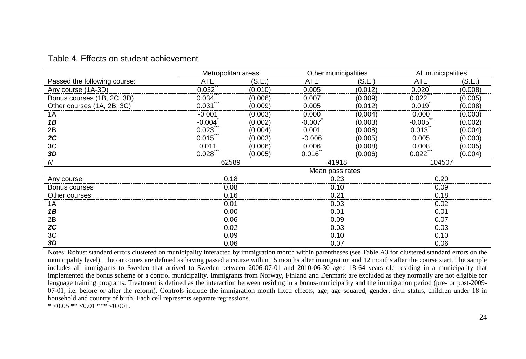|                              | Metropolitan areas |         | Other municipalities |         | All municipalities |         |  |
|------------------------------|--------------------|---------|----------------------|---------|--------------------|---------|--|
| Passed the following course: | <b>ATE</b>         | (S.E.)  | ATE                  | (S.E.)  | ATE                | (S.E.)  |  |
| Any course (1A-3D)           | 0.032              | (0.010) | 0.005                | (0.012) | 0.020              | (0.008) |  |
| Bonus courses (1B, 2C, 3D)   | 0.034              | (0.006) | 0.007                | (0.009) | 0.022              | (0.005) |  |
| Other courses (1A, 2B, 3C)   | 0.031              | (0.009) | 0.005                | (0.012) | 0.019              | (0.008) |  |
| 1A                           | $-0.001$           | (0.003) | 0.000                | (0.004) | 0.000              | (0.003) |  |
| 1B                           | $-0.004$           | (0.002) | $-0.007$             | (0.003) | $-0.005$           | (0.002) |  |
| 2B                           | 0.023              | (0.004) | 0.001                | (0.008) | 0.013              | (0.004) |  |
| 2C                           | 0.015              | (0.003) | $-0.006$             | (0.005) | 0.005              | (0.003) |  |
| 3C                           | 0.011              | (0.006) | 0.006                | (0.008) | 0.008              | (0.005) |  |
| 3D                           | 0.028              | (0.005) | 0.016                | (0.006) | 0.022              | (0.004) |  |
| N                            | 62589              |         | 41918                |         | 104507             |         |  |
|                              |                    |         | Mean pass rates      |         |                    |         |  |
| Any course                   | 0.18               |         | 0.23                 |         | 0.20               |         |  |
| Bonus courses                | 0.08               |         | 0.10                 |         | 0.09               |         |  |
| Other courses                | 0.16               |         | 0.21                 |         | 0.18               |         |  |
| 1A                           | 0.01               |         | 0.03                 |         | 0.02               |         |  |
| 1B                           | 0.00               |         | 0.01                 |         | 0.01               |         |  |
| 2Β                           | 0.06               |         | 0.09                 |         | 0.07               |         |  |
| 2C                           | 0.02               |         | 0.03                 |         | 0.03               |         |  |
| ЗC                           | 0.09               |         |                      | 0.10    |                    | 0.10    |  |
| 3D                           | 0.06               |         |                      | 0.07    |                    | 0.06    |  |

#### Table 4. Effects on student achievement

Notes: Robust standard errors clustered on municipality interacted by immigration month within parentheses (see Table A3 for clustered standard errors on the municipality level). The outcomes are defined as having passed a course within 15 months after immigration and 12 months after the course start. The sample includes all immigrants to Sweden that arrived to Sweden between 2006-07-01 and 2010-06-30 aged 18-64 years old residing in a municipality that implemented the bonus scheme or a control municipality. Immigrants from Norway, Finland and Denmark are excluded as they normally are not eligible for language training programs. Treatment is defined as the interaction between residing in a bonus-municipality and the immigration period (pre- or post-2009- 07-01, i.e. before or after the reform). Controls include the immigration month fixed effects, age, age squared, gender, civil status, children under 18 in household and country of birth. Each cell represents separate regressions.

\*  $<0.05$  \*\*  $<0.01$  \*\*\*  $<0.001$ .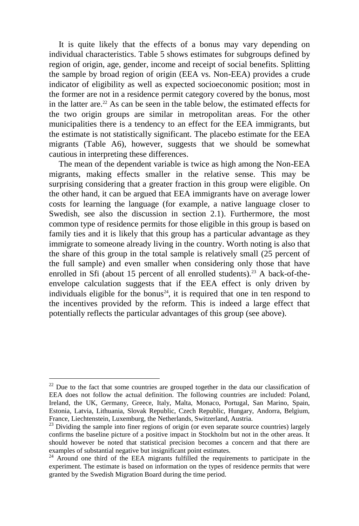It is quite likely that the effects of a bonus may vary depending on individual characteristics. Table 5 shows estimates for subgroups defined by region of origin, age, gender, income and receipt of social benefits. Splitting the sample by broad region of origin (EEA vs. Non-EEA) provides a crude indicator of eligibility as well as expected socioeconomic position; most in the former are not in a residence permit category covered by the bonus, most in the latter are.<sup>22</sup> As can be seen in the table below, the estimated effects for the two origin groups are similar in metropolitan areas. For the other municipalities there is a tendency to an effect for the EEA immigrants, but the estimate is not statistically significant. The placebo estimate for the EEA migrants (Table A6), however, suggests that we should be somewhat cautious in interpreting these differences.

The mean of the dependent variable is twice as high among the Non-EEA migrants, making effects smaller in the relative sense. This may be surprising considering that a greater fraction in this group were eligible. On the other hand, it can be argued that EEA immigrants have on average lower costs for learning the language (for example, a native language closer to Swedish, see also the discussion in section 2.1). Furthermore, the most common type of residence permits for those eligible in this group is based on family ties and it is likely that this group has a particular advantage as they immigrate to someone already living in the country. Worth noting is also that the share of this group in the total sample is relatively small (25 percent of the full sample) and even smaller when considering only those that have enrolled in Sfi (about 15 percent of all enrolled students).<sup>23</sup> A back-of-theenvelope calculation suggests that if the EEA effect is only driven by individuals eligible for the bonus<sup>24</sup>, it is required that one in ten respond to the incentives provided by the reform. This is indeed a large effect that potentially reflects the particular advantages of this group (see above).

 $22$  Due to the fact that some countries are grouped together in the data our classification of EEA does not follow the actual definition. The following countries are included: Poland, Ireland, the UK, Germany, Greece, Italy, Malta, Monaco, Portugal, San Marino, Spain, Estonia, Latvia, Lithuania, Slovak Republic, Czech Republic, Hungary, Andorra, Belgium, France, Liechtenstein, Luxemburg, the Netherlands, Switzerland, Austria.

 $23$  Dividing the sample into finer regions of origin (or even separate source countries) largely confirms the baseline picture of a positive impact in Stockholm but not in the other areas. It should however be noted that statistical precision becomes a concern and that there are examples of substantial negative but insignificant point estimates.

<sup>&</sup>lt;sup>24</sup> Around one third of the EEA migrants fulfilled the requirements to participate in the experiment. The estimate is based on information on the types of residence permits that were granted by the Swedish Migration Board during the time period.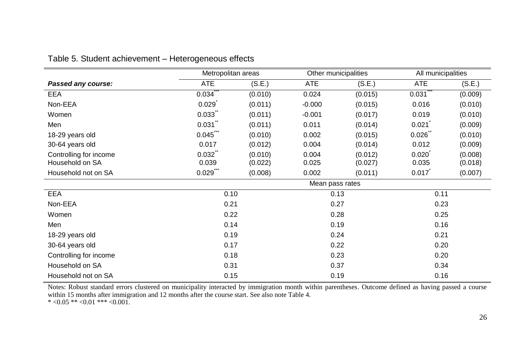|                        | Metropolitan areas |         | Other municipalities |         | All municipalities |         |  |
|------------------------|--------------------|---------|----------------------|---------|--------------------|---------|--|
| Passed any course:     | <b>ATE</b>         | (S.E.)  | <b>ATE</b>           | (S.E.)  | ATE                | (S.E.)  |  |
| EEA                    | 0.034              | (0.010) | 0.024                | (0.015) | 0.031              | (0.009) |  |
| Non-EEA                | 0.029              | (0.011) | $-0.000$             | (0.015) | 0.016              | (0.010) |  |
| Women                  | 0.033              | (0.011) | $-0.001$             | (0.017) | 0.019              | (0.010) |  |
| Men                    | 0.031              | (0.011) | 0.011                | (0.014) | 0.021              | (0.009) |  |
| 18-29 years old        | 0.045              | (0.010) | 0.002                | (0.015) | 0.026              | (0.010) |  |
| 30-64 years old        | 0.017              | (0.012) | 0.004                | (0.014) | 0.012              | (0.009) |  |
| Controlling for income | 0.032              | (0.010) | 0.004                | (0.012) | 0.020              | (0.008) |  |
| Household on SA        | 0.039              | (0.022) | 0.025                | (0.027) | 0.035              | (0.018) |  |
| Household not on SA    | $0.029$ ***        | (0.008) | 0.002                | (0.011) | 0.017              | (0.007) |  |
|                        | Mean pass rates    |         |                      |         |                    |         |  |
| EEA                    | 0.10               |         | 0.13                 |         | 0.11               |         |  |
| Non-EEA                | 0.21               |         | 0.27                 |         | 0.23               |         |  |
| Women                  | 0.22               |         | 0.28                 |         | 0.25               |         |  |
| Men                    | 0.14               |         | 0.19                 |         | 0.16               |         |  |
| 18-29 years old        | 0.19               |         | 0.24                 |         | 0.21               |         |  |
| 30-64 years old        | 0.17               |         | 0.22                 |         | 0.20               |         |  |
| Controlling for income | 0.18               |         | 0.23                 |         | 0.20               |         |  |
| Household on SA        | 0.31               |         | 0.37                 |         | 0.34               |         |  |
| Household not on SA    | 0.15               |         | 0.19                 |         | 0.16               |         |  |

#### Table 5. Student achievement – Heterogeneous effects

Notes: Robust standard errors clustered on municipality interacted by immigration month within parentheses. Outcome defined as having passed a course within 15 months after immigration and 12 months after the course start. See also note Table 4.

\*  $<0.05$  \*\*  $<0.01$  \*\*\*  $<0.001$ .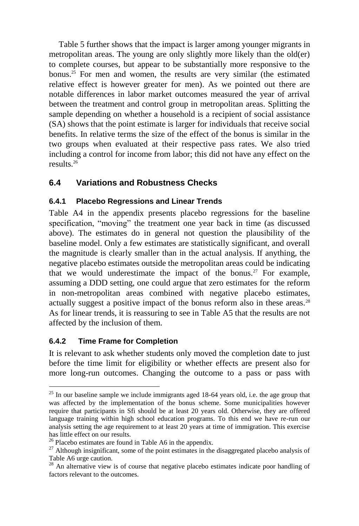Table 5 further shows that the impact is larger among younger migrants in metropolitan areas. The young are only slightly more likely than the old(er) to complete courses, but appear to be substantially more responsive to the bonus.<sup>25</sup> For men and women, the results are very similar (the estimated relative effect is however greater for men). As we pointed out there are notable differences in labor market outcomes measured the year of arrival between the treatment and control group in metropolitan areas. Splitting the sample depending on whether a household is a recipient of social assistance (SA) shows that the point estimate is larger for individuals that receive social benefits. In relative terms the size of the effect of the bonus is similar in the two groups when evaluated at their respective pass rates. We also tried including a control for income from labor; this did not have any effect on the results.<sup>26</sup>

### **6.4 Variations and Robustness Checks**

#### **6.4.1 Placebo Regressions and Linear Trends**

Table A4 in the appendix presents placebo regressions for the baseline specification, "moving" the treatment one year back in time (as discussed above). The estimates do in general not question the plausibility of the baseline model. Only a few estimates are statistically significant, and overall the magnitude is clearly smaller than in the actual analysis. If anything, the negative placebo estimates outside the metropolitan areas could be indicating that we would underestimate the impact of the bonus.<sup>27</sup> For example, assuming a DDD setting, one could argue that zero estimates for the reform in non-metropolitan areas combined with negative placebo estimates, actually suggest a positive impact of the bonus reform also in these areas.<sup>28</sup> As for linear trends, it is reassuring to see in Table A5 that the results are not affected by the inclusion of them.

#### **6.4.2 Time Frame for Completion**

 $\overline{a}$ 

It is relevant to ask whether students only moved the completion date to just before the time limit for eligibility or whether effects are present also for more long-run outcomes. Changing the outcome to a pass or pass with

 $25$  In our baseline sample we include immigrants aged 18-64 years old, i.e. the age group that was affected by the implementation of the bonus scheme. Some municipalities however require that participants in Sfi should be at least 20 years old. Otherwise, they are offered language training within high school education programs. To this end we have re-run our analysis setting the age requirement to at least 20 years at time of immigration. This exercise has little effect on our results.

 $26$  Placebo estimates are found in Table A6 in the appendix.

 $27$  Although insignificant, some of the point estimates in the disaggregated placebo analysis of Table A6 urge caution.

 $28$  An alternative view is of course that negative placebo estimates indicate poor handling of factors relevant to the outcomes.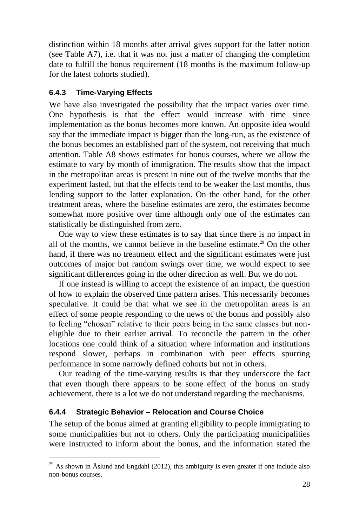distinction within 18 months after arrival gives support for the latter notion (see Table A7), i.e. that it was not just a matter of changing the completion date to fulfill the bonus requirement (18 months is the maximum follow-up for the latest cohorts studied).

#### **6.4.3 Time-Varying Effects**

We have also investigated the possibility that the impact varies over time. One hypothesis is that the effect would increase with time since implementation as the bonus becomes more known. An opposite idea would say that the immediate impact is bigger than the long-run, as the existence of the bonus becomes an established part of the system, not receiving that much attention. Table A8 shows estimates for bonus courses, where we allow the estimate to vary by month of immigration. The results show that the impact in the metropolitan areas is present in nine out of the twelve months that the experiment lasted, but that the effects tend to be weaker the last months, thus lending support to the latter explanation. On the other hand, for the other treatment areas, where the baseline estimates are zero, the estimates become somewhat more positive over time although only one of the estimates can statistically be distinguished from zero.

One way to view these estimates is to say that since there is no impact in all of the months, we cannot believe in the baseline estimate.<sup>29</sup> On the other hand, if there was no treatment effect and the significant estimates were just outcomes of major but random swings over time, we would expect to see significant differences going in the other direction as well. But we do not.

If one instead is willing to accept the existence of an impact, the question of how to explain the observed time pattern arises. This necessarily becomes speculative. It could be that what we see in the metropolitan areas is an effect of some people responding to the news of the bonus and possibly also to feeling "chosen" relative to their peers being in the same classes but noneligible due to their earlier arrival. To reconcile the pattern in the other locations one could think of a situation where information and institutions respond slower, perhaps in combination with peer effects spurring performance in some narrowly defined cohorts but not in others.

Our reading of the time-varying results is that they underscore the fact that even though there appears to be some effect of the bonus on study achievement, there is a lot we do not understand regarding the mechanisms.

#### **6.4.4 Strategic Behavior – Relocation and Course Choice**

 $\overline{a}$ 

The setup of the bonus aimed at granting eligibility to people immigrating to some municipalities but not to others. Only the participating municipalities were instructed to inform about the bonus, and the information stated the

<sup>&</sup>lt;sup>29</sup> As shown in Åslund and Engdahl (2012), this ambiguity is even greater if one include also non-bonus courses.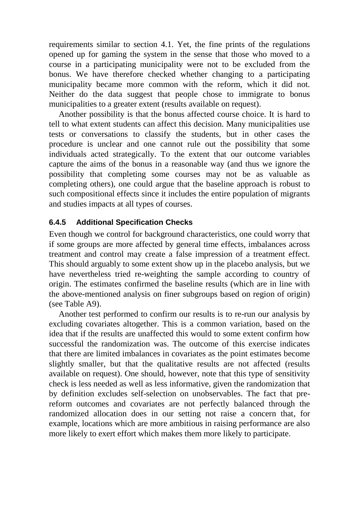requirements similar to section 4.1. Yet, the fine prints of the regulations opened up for gaming the system in the sense that those who moved to a course in a participating municipality were not to be excluded from the bonus. We have therefore checked whether changing to a participating municipality became more common with the reform, which it did not. Neither do the data suggest that people chose to immigrate to bonus municipalities to a greater extent (results available on request).

Another possibility is that the bonus affected course choice. It is hard to tell to what extent students can affect this decision. Many municipalities use tests or conversations to classify the students, but in other cases the procedure is unclear and one cannot rule out the possibility that some individuals acted strategically. To the extent that our outcome variables capture the aims of the bonus in a reasonable way (and thus we ignore the possibility that completing some courses may not be as valuable as completing others), one could argue that the baseline approach is robust to such compositional effects since it includes the entire population of migrants and studies impacts at all types of courses.

#### **6.4.5 Additional Specification Checks**

Even though we control for background characteristics, one could worry that if some groups are more affected by general time effects, imbalances across treatment and control may create a false impression of a treatment effect. This should arguably to some extent show up in the placebo analysis, but we have nevertheless tried re-weighting the sample according to country of origin. The estimates confirmed the baseline results (which are in line with the above-mentioned analysis on finer subgroups based on region of origin) (see Table A9).

Another test performed to confirm our results is to re-run our analysis by excluding covariates altogether. This is a common variation, based on the idea that if the results are unaffected this would to some extent confirm how successful the randomization was. The outcome of this exercise indicates that there are limited imbalances in covariates as the point estimates become slightly smaller, but that the qualitative results are not affected (results available on request). One should, however, note that this type of sensitivity check is less needed as well as less informative, given the randomization that by definition excludes self-selection on unobservables. The fact that prereform outcomes and covariates are not perfectly balanced through the randomized allocation does in our setting not raise a concern that, for example, locations which are more ambitious in raising performance are also more likely to exert effort which makes them more likely to participate.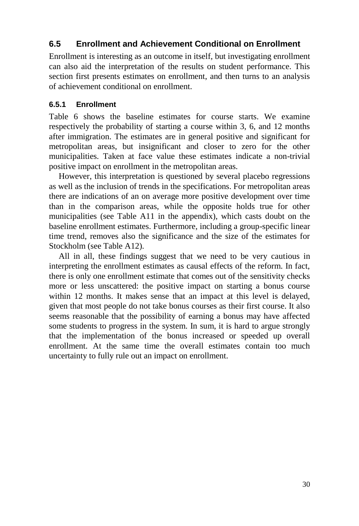### **6.5 Enrollment and Achievement Conditional on Enrollment**

Enrollment is interesting as an outcome in itself, but investigating enrollment can also aid the interpretation of the results on student performance. This section first presents estimates on enrollment, and then turns to an analysis of achievement conditional on enrollment.

#### **6.5.1 Enrollment**

Table 6 shows the baseline estimates for course starts. We examine respectively the probability of starting a course within 3, 6, and 12 months after immigration. The estimates are in general positive and significant for metropolitan areas, but insignificant and closer to zero for the other municipalities. Taken at face value these estimates indicate a non-trivial positive impact on enrollment in the metropolitan areas.

However, this interpretation is questioned by several placebo regressions as well as the inclusion of trends in the specifications. For metropolitan areas there are indications of an on average more positive development over time than in the comparison areas, while the opposite holds true for other municipalities (see Table A11 in the appendix), which casts doubt on the baseline enrollment estimates. Furthermore, including a group-specific linear time trend, removes also the significance and the size of the estimates for Stockholm (see Table A12).

All in all, these findings suggest that we need to be very cautious in interpreting the enrollment estimates as causal effects of the reform. In fact, there is only one enrollment estimate that comes out of the sensitivity checks more or less unscattered: the positive impact on starting a bonus course within 12 months. It makes sense that an impact at this level is delayed, given that most people do not take bonus courses as their first course. It also seems reasonable that the possibility of earning a bonus may have affected some students to progress in the system. In sum, it is hard to argue strongly that the implementation of the bonus increased or speeded up overall enrollment. At the same time the overall estimates contain too much uncertainty to fully rule out an impact on enrollment.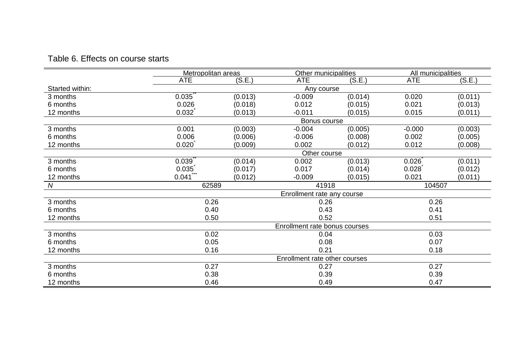#### Table 6. Effects on course starts

|                 | Metropolitan areas |         | Other municipalities          |         | All municipalities |         |  |
|-----------------|--------------------|---------|-------------------------------|---------|--------------------|---------|--|
|                 | <b>ATE</b>         | (S.E.)  | <b>ATE</b>                    | (S.E.)  | <b>ATE</b>         | (S.E.)  |  |
| Started within: |                    |         | Any course                    |         |                    |         |  |
| 3 months        | 0.035              | (0.013) | $-0.009$                      | (0.014) | 0.020              | (0.011) |  |
| 6 months        | 0.026              | (0.018) | 0.012                         | (0.015) | 0.021              | (0.013) |  |
| 12 months       | 0.032              | (0.013) | $-0.011$                      | (0.015) | 0.015              | (0.011) |  |
|                 |                    |         | Bonus course                  |         |                    |         |  |
| 3 months        | 0.001              | (0.003) | $-0.004$                      | (0.005) | $-0.000$           | (0.003) |  |
| 6 months        | 0.006              | (0.006) | $-0.006$                      | (0.008) | 0.002              | (0.005) |  |
| 12 months       | 0.020              | (0.009) | 0.002                         | (0.012) | 0.012              | (0.008) |  |
|                 |                    |         |                               |         |                    |         |  |
| 3 months        | 0.039              | (0.014) | 0.002                         | (0.013) | 0.026              | (0.011) |  |
| 6 months        | 0.035              | (0.017) | 0.017                         | (0.014) | 0.028              | (0.012) |  |
| 12 months       | 0.041              | (0.012) | $-0.009$                      | (0.015) | 0.021              | (0.011) |  |
| N               | 62589              |         | 41918                         |         | 104507             |         |  |
|                 |                    |         | Enrollment rate any course    |         |                    |         |  |
| 3 months        | 0.26               |         | 0.26                          |         | 0.26               |         |  |
| 6 months        | 0.40               |         | 0.43                          |         | 0.41               |         |  |
| 12 months       | 0.50               |         | 0.52                          |         | 0.51               |         |  |
|                 |                    |         | Enrollment rate bonus courses |         |                    |         |  |
| 3 months        | 0.02               |         | 0.04                          |         | 0.03               |         |  |
| 6 months        | 0.05               |         | 0.08                          |         | 0.07               |         |  |
| 12 months       | 0.16               |         | 0.21                          |         | 0.18               |         |  |
|                 |                    |         | Enrollment rate other courses |         |                    |         |  |
| 3 months        | 0.27               |         | 0.27                          |         | 0.27               |         |  |
| 6 months        | 0.38               |         | 0.39                          |         | 0.39               |         |  |
| 12 months       | 0.46               |         | 0.49                          |         | 0.47               |         |  |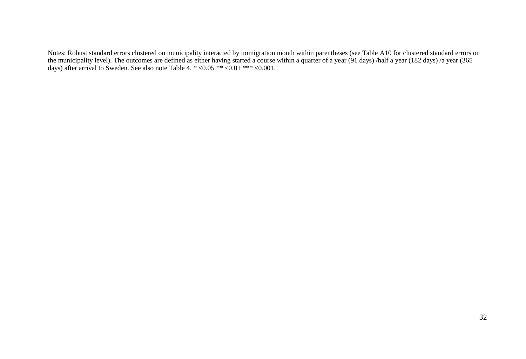Notes: Robust standard errors clustered on municipality interacted by immigration month within parentheses (see Table A10 for clustered standard errors on the municipality level). The outcomes are defined as either having started a course within a quarter of a year (91 days) /half a year (182 days) /a year (365 days) after arrival to Sweden. See also note Table 4. \* <0.05 \*\* <0.01 \*\*\* <0.001.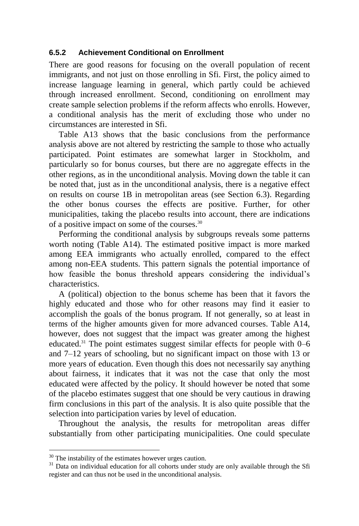#### **6.5.2 Achievement Conditional on Enrollment**

There are good reasons for focusing on the overall population of recent immigrants, and not just on those enrolling in Sfi. First, the policy aimed to increase language learning in general, which partly could be achieved through increased enrollment. Second, conditioning on enrollment may create sample selection problems if the reform affects who enrolls. However, a conditional analysis has the merit of excluding those who under no circumstances are interested in Sfi.

Table A13 shows that the basic conclusions from the performance analysis above are not altered by restricting the sample to those who actually participated. Point estimates are somewhat larger in Stockholm, and particularly so for bonus courses, but there are no aggregate effects in the other regions, as in the unconditional analysis. Moving down the table it can be noted that, just as in the unconditional analysis, there is a negative effect on results on course 1B in metropolitan areas (see Section 6.3). Regarding the other bonus courses the effects are positive. Further, for other municipalities, taking the placebo results into account, there are indications of a positive impact on some of the courses.<sup>30</sup>

Performing the conditional analysis by subgroups reveals some patterns worth noting (Table A14). The estimated positive impact is more marked among EEA immigrants who actually enrolled, compared to the effect among non-EEA students. This pattern signals the potential importance of how feasible the bonus threshold appears considering the individual's characteristics.

A (political) objection to the bonus scheme has been that it favors the highly educated and those who for other reasons may find it easier to accomplish the goals of the bonus program. If not generally, so at least in terms of the higher amounts given for more advanced courses. Table A14, however, does not suggest that the impact was greater among the highest educated.<sup>31</sup> The point estimates suggest similar effects for people with  $0-6$ and 7–12 years of schooling, but no significant impact on those with 13 or more years of education. Even though this does not necessarily say anything about fairness, it indicates that it was not the case that only the most educated were affected by the policy. It should however be noted that some of the placebo estimates suggest that one should be very cautious in drawing firm conclusions in this part of the analysis. It is also quite possible that the selection into participation varies by level of education.

Throughout the analysis, the results for metropolitan areas differ substantially from other participating municipalities. One could speculate

 $30$  The instability of the estimates however urges caution.

 $31$  Data on individual education for all cohorts under study are only available through the Sfi register and can thus not be used in the unconditional analysis.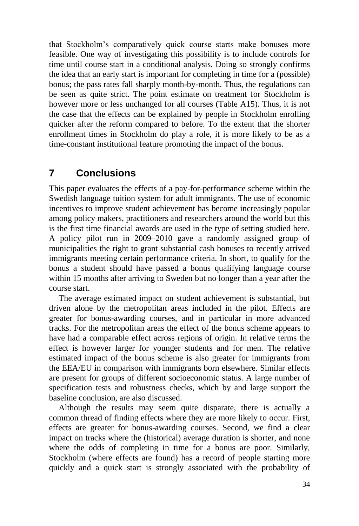that Stockholm's comparatively quick course starts make bonuses more feasible. One way of investigating this possibility is to include controls for time until course start in a conditional analysis. Doing so strongly confirms the idea that an early start is important for completing in time for a (possible) bonus; the pass rates fall sharply month-by-month. Thus, the regulations can be seen as quite strict. The point estimate on treatment for Stockholm is however more or less unchanged for all courses (Table A15). Thus, it is not the case that the effects can be explained by people in Stockholm enrolling quicker after the reform compared to before. To the extent that the shorter enrollment times in Stockholm do play a role, it is more likely to be as a time-constant institutional feature promoting the impact of the bonus.

## **7 Conclusions**

This paper evaluates the effects of a pay-for-performance scheme within the Swedish language tuition system for adult immigrants. The use of economic incentives to improve student achievement has become increasingly popular among policy makers, practitioners and researchers around the world but this is the first time financial awards are used in the type of setting studied here. A policy pilot run in 2009–2010 gave a randomly assigned group of municipalities the right to grant substantial cash bonuses to recently arrived immigrants meeting certain performance criteria. In short, to qualify for the bonus a student should have passed a bonus qualifying language course within 15 months after arriving to Sweden but no longer than a year after the course start.

The average estimated impact on student achievement is substantial, but driven alone by the metropolitan areas included in the pilot. Effects are greater for bonus-awarding courses, and in particular in more advanced tracks. For the metropolitan areas the effect of the bonus scheme appears to have had a comparable effect across regions of origin. In relative terms the effect is however larger for younger students and for men. The relative estimated impact of the bonus scheme is also greater for immigrants from the EEA/EU in comparison with immigrants born elsewhere. Similar effects are present for groups of different socioeconomic status. A large number of specification tests and robustness checks, which by and large support the baseline conclusion, are also discussed.

Although the results may seem quite disparate, there is actually a common thread of finding effects where they are more likely to occur. First, effects are greater for bonus-awarding courses. Second, we find a clear impact on tracks where the (historical) average duration is shorter, and none where the odds of completing in time for a bonus are poor. Similarly, Stockholm (where effects are found) has a record of people starting more quickly and a quick start is strongly associated with the probability of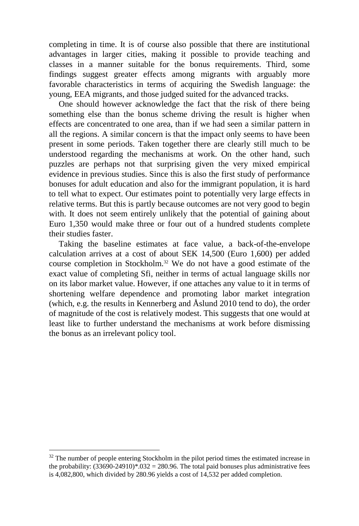completing in time. It is of course also possible that there are institutional advantages in larger cities, making it possible to provide teaching and classes in a manner suitable for the bonus requirements. Third, some findings suggest greater effects among migrants with arguably more favorable characteristics in terms of acquiring the Swedish language: the young, EEA migrants, and those judged suited for the advanced tracks.

One should however acknowledge the fact that the risk of there being something else than the bonus scheme driving the result is higher when effects are concentrated to one area, than if we had seen a similar pattern in all the regions. A similar concern is that the impact only seems to have been present in some periods. Taken together there are clearly still much to be understood regarding the mechanisms at work. On the other hand, such puzzles are perhaps not that surprising given the very mixed empirical evidence in previous studies. Since this is also the first study of performance bonuses for adult education and also for the immigrant population, it is hard to tell what to expect. Our estimates point to potentially very large effects in relative terms. But this is partly because outcomes are not very good to begin with. It does not seem entirely unlikely that the potential of gaining about Euro 1,350 would make three or four out of a hundred students complete their studies faster.

Taking the baseline estimates at face value, a back-of-the-envelope calculation arrives at a cost of about SEK 14,500 (Euro 1,600) per added course completion in Stockholm.<sup>32</sup> We do not have a good estimate of the exact value of completing Sfi, neither in terms of actual language skills nor on its labor market value. However, if one attaches any value to it in terms of shortening welfare dependence and promoting labor market integration (which, e.g. the results in Kennerberg and Åslund 2010 tend to do), the order of magnitude of the cost is relatively modest. This suggests that one would at least like to further understand the mechanisms at work before dismissing the bonus as an irrelevant policy tool.

 $32$  The number of people entering Stockholm in the pilot period times the estimated increase in the probability:  $(33690-24910)*0.032 = 280.96$ . The total paid bonuses plus administrative fees is 4,082,800, which divided by 280.96 yields a cost of 14,532 per added completion.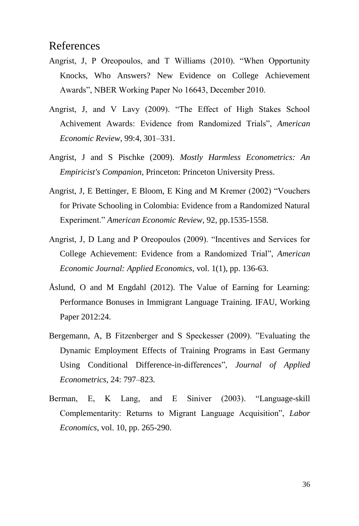## References

- Angrist, J, P Oreopoulos, and T Williams (2010). "When Opportunity Knocks, Who Answers? New Evidence on College Achievement Awards", NBER Working Paper No 16643, December 2010.
- Angrist, J, and V Lavy (2009). "The Effect of High Stakes School Achivement Awards: Evidence from Randomized Trials", *American Economic Review*, 99:4, 301–331.
- Angrist, J and S Pischke (2009). *Mostly Harmless Econometrics: An Empiricist's Companion*, Princeton: Princeton University Press.
- Angrist, J, E Bettinger, E Bloom, E King and M Kremer (2002) "Vouchers for Private Schooling in Colombia: Evidence from a Randomized Natural Experiment." *American Economic Review*, 92, pp.1535-1558.
- Angrist, J, D Lang and P Oreopoulos (2009). "Incentives and Services for College Achievement: Evidence from a Randomized Trial", *American Economic Journal: Applied Economics*, vol. 1(1), pp. 136-63.
- Åslund, O and M Engdahl (2012). The Value of Earning for Learning: Performance Bonuses in Immigrant Language Training. IFAU, Working Paper 2012:24.
- Bergemann, A, B Fitzenberger and S Speckesser (2009). "Evaluating the Dynamic Employment Effects of Training Programs in East Germany Using Conditional Difference-in-differences", *Journal of Applied Econometrics*, 24: 797–823.
- Berman, E, K Lang, and E Siniver (2003). "Language-skill Complementarity: Returns to Migrant Language Acquisition", *Labor Economics*, vol. 10, pp. 265-290.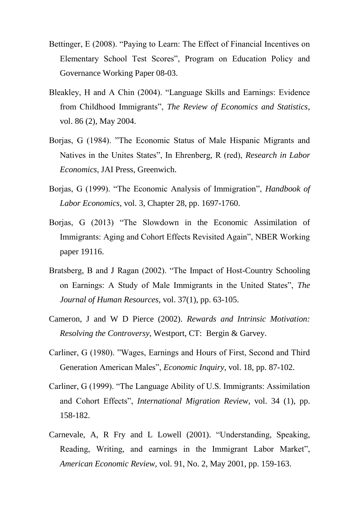- Bettinger, E (2008). "Paying to Learn: The Effect of Financial Incentives on Elementary School Test Scores", Program on Education Policy and Governance Working Paper 08-03.
- Bleakley, H and A Chin (2004). "Language Skills and Earnings: Evidence from Childhood Immigrants", *The Review of Economics and Statistics*, vol. 86 (2), May 2004.
- Borjas, G (1984). "The Economic Status of Male Hispanic Migrants and Natives in the Unites States", In Ehrenberg, R (red), *Research in Labor Economics*, JAI Press, Greenwich.
- Borjas, G (1999). "The Economic Analysis of Immigration", *Handbook of Labor Economics*, vol. 3, Chapter 28, pp. 1697-1760.
- Borjas, G (2013) "The Slowdown in the Economic Assimilation of Immigrants: Aging and Cohort Effects Revisited Again", NBER Working paper 19116.
- Bratsberg, B and J Ragan (2002). "The Impact of Host-Country Schooling on Earnings: A Study of Male Immigrants in the United States", *The Journal of Human Resources,* vol. 37(1), pp. 63-105.
- Cameron, J and W D Pierce (2002). *Rewards and Intrinsic Motivation: Resolving the Controversy*, Westport, CT: Bergin & Garvey.
- Carliner, G (1980). "Wages, Earnings and Hours of First, Second and Third Generation American Males", *Economic Inquiry*, vol. 18, pp. 87-102.
- Carliner, G (1999). "The Language Ability of U.S. Immigrants: Assimilation and Cohort Effects", *International Migration Review*, vol. 34 (1), pp. 158-182.
- Carnevale, A, R Fry and L Lowell (2001). "Understanding, Speaking, Reading, Writing, and earnings in the Immigrant Labor Market", *American Economic Review,* vol. 91, No. 2, May 2001, pp. 159-163.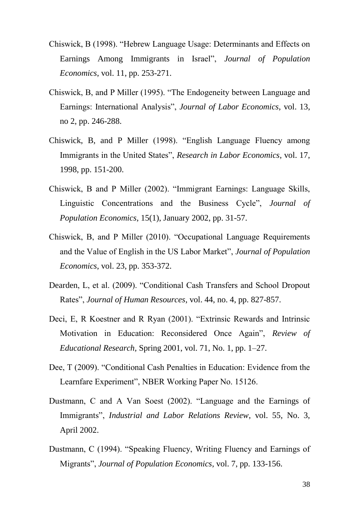- Chiswick, B (1998). "Hebrew Language Usage: Determinants and Effects on Earnings Among Immigrants in Israel", *Journal of Population Economics*, vol. 11, pp. 253-271.
- Chiswick, B, and P Miller (1995). "The Endogeneity between Language and Earnings: International Analysis", *Journal of Labor Economics*, vol. 13, no 2, pp. 246-288.
- Chiswick, B, and P Miller (1998). "English Language Fluency among Immigrants in the United States", *Research in Labor Economics*, vol. 17, 1998, pp. 151-200.
- Chiswick, B and P Miller (2002). "Immigrant Earnings: Language Skills, Linguistic Concentrations and the Business Cycle", *Journal of Population Economics*, 15(1), January 2002, pp. 31-57.
- Chiswick, B, and P Miller (2010). "Occupational Language Requirements and the Value of English in the US Labor Market", *Journal of Population Economics*, vol. 23, pp. 353-372.
- Dearden, L, et al. (2009). "Conditional Cash Transfers and School Dropout Rates", *Journal of Human Resources*, vol. 44, no. 4, pp. 827-857.
- Deci, E, R Koestner and R Ryan (2001). "Extrinsic Rewards and Intrinsic Motivation in Education: Reconsidered Once Again", *Review of Educational Research,* Spring 2001, vol. 71, No. 1, pp. 1–27.
- Dee, T (2009). "Conditional Cash Penalties in Education: Evidence from the Learnfare Experiment", NBER Working Paper No. 15126.
- Dustmann, C and A Van Soest (2002). "Language and the Earnings of Immigrants", *Industrial and Labor Relations Review*, vol. 55, No. 3, April 2002.
- Dustmann, C (1994). "Speaking Fluency, Writing Fluency and Earnings of Migrants", *Journal of Population Economics*, vol. 7, pp. 133-156.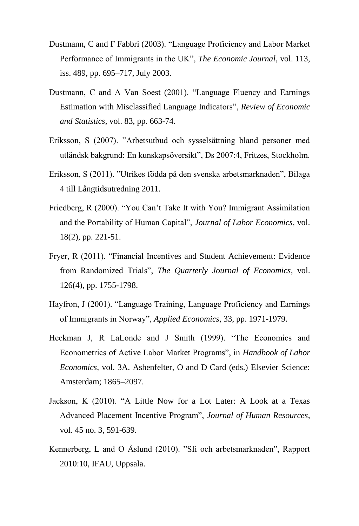- Dustmann, C and F Fabbri (2003). "Language Proficiency and Labor Market Performance of Immigrants in the UK", *The Economic Journal*, vol. 113, iss. 489, pp. 695–717, July 2003.
- Dustmann, C and A Van Soest (2001). "Language Fluency and Earnings Estimation with Misclassified Language Indicators", *Review of Economic and Statistics*, vol. 83, pp. 663-74.
- Eriksson, S (2007). "Arbetsutbud och sysselsättning bland personer med utländsk bakgrund: En kunskapsöversikt", Ds 2007:4, Fritzes, Stockholm.
- Eriksson, S (2011). "Utrikes födda på den svenska arbetsmarknaden", Bilaga 4 till Långtidsutredning 2011.
- Friedberg, R (2000). "You Can't Take It with You? Immigrant Assimilation and the Portability of Human Capital", *Journal of Labor Economics*, vol. 18(2), pp. 221-51.
- Fryer, R (2011). "Financial Incentives and Student Achievement: Evidence from Randomized Trials", *The Quarterly Journal of Economics*, vol. 126(4), pp. 1755-1798.
- Hayfron, J (2001). "Language Training, Language Proficiency and Earnings of Immigrants in Norway", *Applied Economics*, 33, pp. 1971-1979.
- Heckman J, R LaLonde and J Smith (1999). "The Economics and Econometrics of Active Labor Market Programs", in *Handbook of Labor Economics*, vol. 3A. Ashenfelter, O and D Card (eds.) Elsevier Science: Amsterdam; 1865–2097.
- Jackson, K (2010). "A Little Now for a Lot Later: A Look at a Texas Advanced Placement Incentive Program", *Journal of Human Resources*, vol. 45 no. 3, 591-639.
- Kennerberg, L and O Åslund (2010). "Sfi och arbetsmarknaden", Rapport 2010:10, IFAU, Uppsala.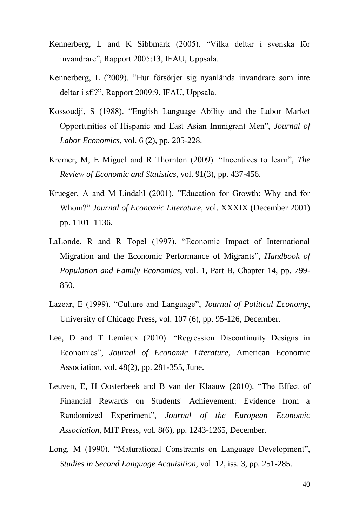- Kennerberg, L and K Sibbmark (2005). "Vilka deltar i svenska för invandrare", Rapport 2005:13, IFAU, Uppsala.
- Kennerberg, L (2009). "Hur försörjer sig nyanlända invandrare som inte deltar i sfi?", Rapport 2009:9, IFAU, Uppsala.
- Kossoudji, S (1988). "English Language Ability and the Labor Market Opportunities of Hispanic and East Asian Immigrant Men", *Journal of Labor Economics*, vol. 6 (2), pp. 205-228.
- Kremer, M, E Miguel and R Thornton (2009). "Incentives to learn", *The Review of Economic and Statistics*, vol. 91(3), pp. 437-456.
- Krueger, A and M Lindahl (2001). "Education for Growth: Why and for Whom?" *Journal of Economic Literature,* vol. XXXIX (December 2001) pp. 1101–1136.
- LaLonde, R and R Topel (1997). "Economic Impact of International Migration and the Economic Performance of Migrants", *Handbook of Population and Family Economics*, vol. 1, Part B, Chapter 14, pp. 799- 850.
- Lazear, E (1999). "Culture and Language", *Journal of Political Economy*, University of Chicago Press, vol. 107 (6), pp. 95-126, December.
- Lee, D and T Lemieux (2010). "Regression Discontinuity Designs in Economics", *Journal of Economic Literature*, American Economic Association, vol. 48(2), pp. 281-355, June.
- Leuven, E, H Oosterbeek and B van der Klaauw (2010). "The Effect of Financial Rewards on Students' Achievement: Evidence from a Randomized Experiment", *Journal of the European Economic Association*, MIT Press, vol. 8(6), pp. 1243-1265, December.
- Long, M (1990). "Maturational Constraints on Language Development", *Studies in Second Language Acquisition*, vol. 12, iss. 3, pp. 251-285.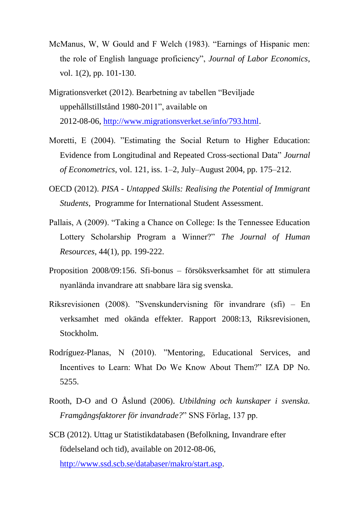- McManus, W, W Gould and F Welch (1983). "Earnings of Hispanic men: the role of English language proficiency", *Journal of Labor Economics*, vol. 1(2), pp. 101-130.
- Migrationsverket (2012). Bearbetning av tabellen "Beviljade uppehållstillstånd 1980-2011", available on 2012-08-06, [http://www.migrationsverket.se/info/793.html.](http://www.migrationsverket.se/info/793.html)
- Moretti, E (2004). "Estimating the Social Return to Higher Education: Evidence from Longitudinal and Repeated Cross-sectional Data" *Journal of Econometrics*, vol. 121, iss. 1–2, July–August 2004, pp. 175–212.
- OECD (2012). *PISA - Untapped Skills: Realising the Potential of Immigrant Students*, Programme for International Student Assessment.
- Pallais, A (2009). "Taking a Chance on College: Is the Tennessee Education Lottery Scholarship Program a Winner?" *The Journal of Human Resources*, 44(1), pp. 199-222.
- Proposition 2008/09:156. Sfi-bonus försöksverksamhet för att stimulera nyanlända invandrare att snabbare lära sig svenska.
- Riksrevisionen (2008). "Svenskundervisning för invandrare (sfi) En verksamhet med okända effekter. Rapport 2008:13, Riksrevisionen, Stockholm.
- Rodríguez-Planas, N (2010). "Mentoring, Educational Services, and Incentives to Learn: What Do We Know About Them?" IZA DP No. 5255.
- Rooth, D-O and O Åslund (2006). *Utbildning och kunskaper i svenska. Framgångsfaktorer för invandrade?*" SNS Förlag, 137 pp.
- SCB (2012). Uttag ur Statistikdatabasen (Befolkning, Invandrare efter födelseland och tid), available on 2012-08-06, [http://www.ssd.scb.se/databaser/makro/start.asp.](http://www.ssd.scb.se/databaser/makro/start.asp)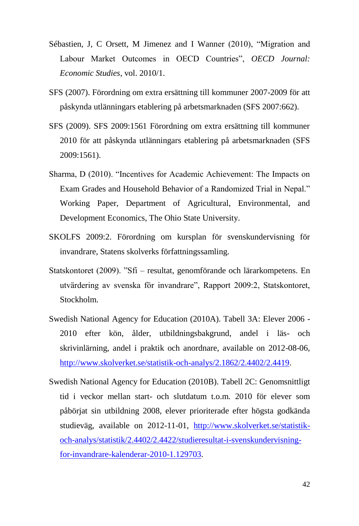- Sébastien, J, C Orsett, M Jimenez and I Wanner (2010), "Migration and Labour Market Outcomes in OECD Countries", *OECD Journal: Economic Studies*, vol. 2010/1.
- SFS (2007). Förordning om extra ersättning till kommuner 2007-2009 för att påskynda utlänningars etablering på arbetsmarknaden (SFS 2007:662).
- SFS (2009). SFS 2009:1561 Förordning om extra ersättning till kommuner 2010 för att påskynda utlänningars etablering på arbetsmarknaden (SFS 2009:1561).
- Sharma, D (2010). "Incentives for Academic Achievement: The Impacts on Exam Grades and Household Behavior of a Randomized Trial in Nepal." Working Paper, Department of Agricultural, Environmental, and Development Economics, The Ohio State University.
- SKOLFS 2009:2. Förordning om kursplan för svenskundervisning för invandrare, Statens skolverks författningssamling.
- Statskontoret (2009). "Sfi resultat, genomförande och lärarkompetens. En utvärdering av svenska för invandrare", Rapport 2009:2, Statskontoret, Stockholm.
- Swedish National Agency for Education (2010A). Tabell 3A: Elever 2006 2010 efter kön, ålder, utbildningsbakgrund, andel i läs- och skrivinlärning, andel i praktik och anordnare, available on 2012-08-06, [http://www.skolverket.se/statistik-och-analys/2.1862/2.4402/2.4419.](http://www.skolverket.se/statistik-och-analys/2.1862/2.4402/2.4419)
- Swedish National Agency for Education (2010B). Tabell 2C: Genomsnittligt tid i veckor mellan start- och slutdatum t.o.m. 2010 för elever som påbörjat sin utbildning 2008, elever prioriterade efter högsta godkända studieväg, available on 2012-11-01, [http://www.skolverket.se/statistik](http://www.skolverket.se/statistik-och-analys/statistik/2.4402/2.4422/studieresultat-i-svenskundervisning-for-invandrare-kalenderar-2010-1.129703)[och-analys/statistik/2.4402/2.4422/studieresultat-i-svenskundervisning](http://www.skolverket.se/statistik-och-analys/statistik/2.4402/2.4422/studieresultat-i-svenskundervisning-for-invandrare-kalenderar-2010-1.129703)[for-invandrare-kalenderar-2010-1.129703.](http://www.skolverket.se/statistik-och-analys/statistik/2.4402/2.4422/studieresultat-i-svenskundervisning-for-invandrare-kalenderar-2010-1.129703)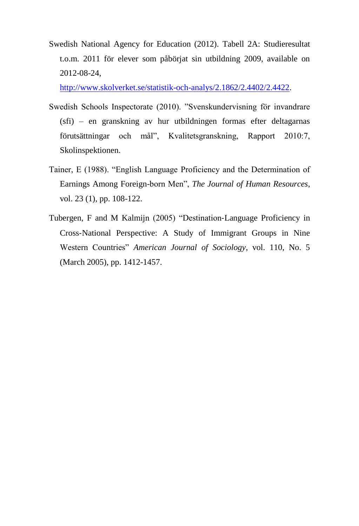Swedish National Agency for Education (2012). Tabell 2A: Studieresultat t.o.m. 2011 för elever som påbörjat sin utbildning 2009, available on 2012-08-24,

[http://www.skolverket.se/statistik-och-analys/2.1862/2.4402/2.4422.](http://www.skolverket.se/statistik-och-analys/2.1862/2.4402/2.4422)

- Swedish Schools Inspectorate (2010). "Svenskundervisning för invandrare (sfi) – en granskning av hur utbildningen formas efter deltagarnas förutsättningar och mål", Kvalitetsgranskning, Rapport 2010:7, Skolinspektionen.
- Tainer, E (1988). "English Language Proficiency and the Determination of Earnings Among Foreign-born Men", *The Journal of Human Resources*, vol. 23 (1), pp. 108-122.
- Tubergen, F and M Kalmijn (2005) "Destination‐Language Proficiency in Cross‐National Perspective: A Study of Immigrant Groups in Nine Western Countries" *American Journal of Sociology*, vol. 110, No. 5 (March 2005), pp. 1412-1457.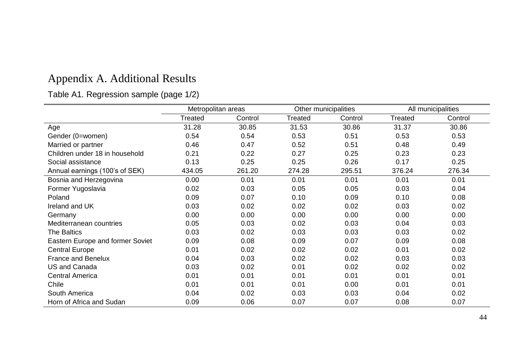# Appendix A. Additional Results

## Table A1. Regression sample (page 1/2)

|                                  | Metropolitan areas |         |         | Other municipalities |         | All municipalities |
|----------------------------------|--------------------|---------|---------|----------------------|---------|--------------------|
|                                  | Treated            | Control | Treated | Control              | Treated | Control            |
| Age                              | 31.28              | 30.85   | 31.53   | 30.86                | 31.37   | 30.86              |
| Gender (0=women)                 | 0.54               | 0.54    | 0.53    | 0.51                 | 0.53    | 0.53               |
| Married or partner               | 0.46               | 0.47    | 0.52    | 0.51                 | 0.48    | 0.49               |
| Children under 18 in household   | 0.21               | 0.22    | 0.27    | 0.25                 | 0.23    | 0.23               |
| Social assistance                | 0.13               | 0.25    | 0.25    | 0.26                 | 0.17    | 0.25               |
| Annual earnings (100's of SEK)   | 434.05             | 261.20  | 274.28  | 295.51               | 376.24  | 276.34             |
| Bosnia and Herzegovina           | 0.00               | 0.01    | 0.01    | 0.01                 | 0.01    | 0.01               |
| Former Yugoslavia                | 0.02               | 0.03    | 0.05    | 0.05                 | 0.03    | 0.04               |
| Poland                           | 0.09               | 0.07    | 0.10    | 0.09                 | 0.10    | 0.08               |
| Ireland and UK                   | 0.03               | 0.02    | 0.02    | 0.02                 | 0.03    | 0.02               |
| Germany                          | 0.00               | 0.00    | 0.00    | 0.00                 | 0.00    | 0.00               |
| Mediterranean countries          | 0.05               | 0.03    | 0.02    | 0.03                 | 0.04    | 0.03               |
| <b>The Baltics</b>               | 0.03               | 0.02    | 0.03    | 0.03                 | 0.03    | 0.02               |
| Eastern Europe and former Soviet | 0.09               | 0.08    | 0.09    | 0.07                 | 0.09    | 0.08               |
| <b>Central Europe</b>            | 0.01               | 0.02    | 0.02    | 0.02                 | 0.01    | 0.02               |
| France and Benelux               | 0.04               | 0.03    | 0.02    | 0.02                 | 0.03    | 0.03               |
| US and Canada                    | 0.03               | 0.02    | 0.01    | 0.02                 | 0.02    | 0.02               |
| <b>Central America</b>           | 0.01               | 0.01    | 0.01    | 0.01                 | 0.01    | 0.01               |
| Chile                            | 0.01               | 0.01    | 0.01    | 0.00                 | 0.01    | 0.01               |
| South America                    | 0.04               | 0.02    | 0.03    | 0.03                 | 0.04    | 0.02               |
| Horn of Africa and Sudan         | 0.09               | 0.06    | 0.07    | 0.07                 | 0.08    | 0.07               |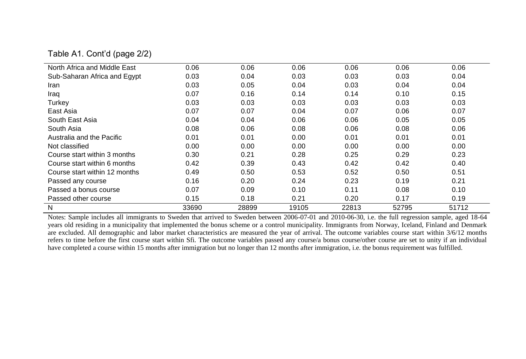#### Table A1. Cont'd (page 2/2)

| North Africa and Middle East  | 0.06  | 0.06  | 0.06  | 0.06  | 0.06  | 0.06  |
|-------------------------------|-------|-------|-------|-------|-------|-------|
| Sub-Saharan Africa and Egypt  | 0.03  | 0.04  | 0.03  | 0.03  | 0.03  | 0.04  |
| Iran                          | 0.03  | 0.05  | 0.04  | 0.03  | 0.04  | 0.04  |
| Iraq                          | 0.07  | 0.16  | 0.14  | 0.14  | 0.10  | 0.15  |
| Turkey                        | 0.03  | 0.03  | 0.03  | 0.03  | 0.03  | 0.03  |
| East Asia                     | 0.07  | 0.07  | 0.04  | 0.07  | 0.06  | 0.07  |
| South East Asia               | 0.04  | 0.04  | 0.06  | 0.06  | 0.05  | 0.05  |
| South Asia                    | 0.08  | 0.06  | 0.08  | 0.06  | 0.08  | 0.06  |
| Australia and the Pacific     | 0.01  | 0.01  | 0.00  | 0.01  | 0.01  | 0.01  |
| Not classified                | 0.00  | 0.00  | 0.00  | 0.00  | 0.00  | 0.00  |
| Course start within 3 months  | 0.30  | 0.21  | 0.28  | 0.25  | 0.29  | 0.23  |
| Course start within 6 months  | 0.42  | 0.39  | 0.43  | 0.42  | 0.42  | 0.40  |
| Course start within 12 months | 0.49  | 0.50  | 0.53  | 0.52  | 0.50  | 0.51  |
| Passed any course             | 0.16  | 0.20  | 0.24  | 0.23  | 0.19  | 0.21  |
| Passed a bonus course         | 0.07  | 0.09  | 0.10  | 0.11  | 0.08  | 0.10  |
| Passed other course           | 0.15  | 0.18  | 0.21  | 0.20  | 0.17  | 0.19  |
| N                             | 33690 | 28899 | 19105 | 22813 | 52795 | 51712 |

Notes: Sample includes all immigrants to Sweden that arrived to Sweden between 2006-07-01 and 2010-06-30, i.e. the full regression sample, aged 18-64 years old residing in a municipality that implemented the bonus scheme or a control municipality. Immigrants from Norway, Iceland, Finland and Denmark are excluded. All demographic and labor market characteristics are measured the year of arrival. The outcome variables course start within 3/6/12 months refers to time before the first course start within Sfi. The outcome variables passed any course/a bonus course/other course are set to unity if an individual have completed a course within 15 months after immigration but no longer than 12 months after immigration, i.e. the bonus requirement was fulfilled.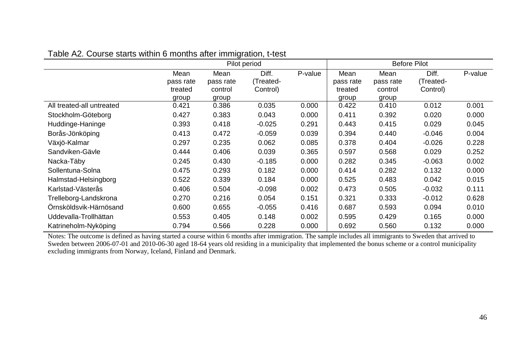|                           |           | Pilot period |           |         | <b>Before Pilot</b> |           |           |         |
|---------------------------|-----------|--------------|-----------|---------|---------------------|-----------|-----------|---------|
|                           | Mean      | Mean         | Diff.     | P-value | Mean                | Mean      | Diff.     | P-value |
|                           | pass rate | pass rate    | (Treated- |         | pass rate           | pass rate | (Treated- |         |
|                           | treated   | control      | Control)  |         | treated             | control   | Control)  |         |
|                           | group     | group        |           |         | group               | group     |           |         |
| All treated-all untreated | 0.421     | 0.386        | 0.035     | 0.000   | 0.422               | 0.410     | 0.012     | 0.001   |
| Stockholm-Göteborg        | 0.427     | 0.383        | 0.043     | 0.000   | 0.411               | 0.392     | 0.020     | 0.000   |
| Huddinge-Haninge          | 0.393     | 0.418        | $-0.025$  | 0.291   | 0.443               | 0.415     | 0.029     | 0.045   |
| Borås-Jönköping           | 0.413     | 0.472        | $-0.059$  | 0.039   | 0.394               | 0.440     | $-0.046$  | 0.004   |
| Växjö-Kalmar              | 0.297     | 0.235        | 0.062     | 0.085   | 0.378               | 0.404     | $-0.026$  | 0.228   |
| Sandviken-Gävle           | 0.444     | 0.406        | 0.039     | 0.365   | 0.597               | 0.568     | 0.029     | 0.252   |
| Nacka-Täby                | 0.245     | 0.430        | $-0.185$  | 0.000   | 0.282               | 0.345     | $-0.063$  | 0.002   |
| Sollentuna-Solna          | 0.475     | 0.293        | 0.182     | 0.000   | 0.414               | 0.282     | 0.132     | 0.000   |
| Halmstad-Helsingborg      | 0.522     | 0.339        | 0.184     | 0.000   | 0.525               | 0.483     | 0.042     | 0.015   |
| Karlstad-Västerås         | 0.406     | 0.504        | $-0.098$  | 0.002   | 0.473               | 0.505     | $-0.032$  | 0.111   |
| Trelleborg-Landskrona     | 0.270     | 0.216        | 0.054     | 0.151   | 0.321               | 0.333     | $-0.012$  | 0.628   |
| Ornsköldsvik-Härnösand    | 0.600     | 0.655        | $-0.055$  | 0.416   | 0.687               | 0.593     | 0.094     | 0.010   |
| Uddevalla-Trollhättan     | 0.553     | 0.405        | 0.148     | 0.002   | 0.595               | 0.429     | 0.165     | 0.000   |
| Katrineholm-Nyköping      | 0.794     | 0.566        | 0.228     | 0.000   | 0.692               | 0.560     | 0.132     | 0.000   |

#### Table A2. Course starts within 6 months after immigration, t-test

Notes: The outcome is defined as having started a course within 6 months after immigration. The sample includes all immigrants to Sweden that arrived to Sweden between 2006-07-01 and 2010-06-30 aged 18-64 years old residing in a municipality that implemented the bonus scheme or a control municipality excluding immigrants from Norway, Iceland, Finland and Denmark.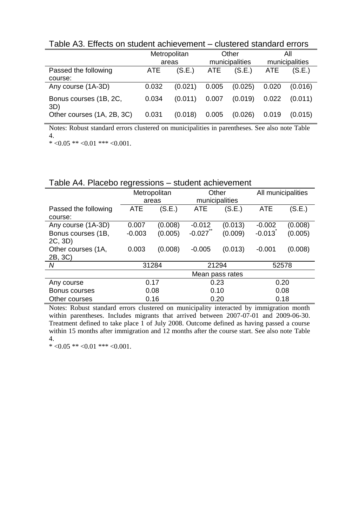Table A3. Effects on student achievement – clustered standard errors

|                                 | Metropolitan |         |       | Other          | All            |         |
|---------------------------------|--------------|---------|-------|----------------|----------------|---------|
|                                 | areas        |         |       | municipalities | municipalities |         |
| Passed the following<br>course: | <b>ATE</b>   | (S.E.)  | ATE   | (S.E.)         | ATE            | (S.E.)  |
| Any course (1A-3D)              | 0.032        | (0.021) | 0.005 | (0.025)        | 0.020          | (0.016) |
| Bonus courses (1B, 2C,<br>3D)   | 0.034        | (0.011) | 0.007 | (0.019)        | 0.022          | (0.011) |
| Other courses (1A, 2B, 3C)      | 0.031        | (0.018) | 0.005 | (0.026)        | 0.019          | (0.015) |

Notes: Robust standard errors clustered on municipalities in parentheses. See also note Table 4.

 $* < 0.05$  \*\*  $< 0.01$  \*\*\*  $< 0.001$ .

#### Table A4. Placebo regressions – student achievement

|                      |            | Metropolitan | Other      |                 | All municipalities |         |  |
|----------------------|------------|--------------|------------|-----------------|--------------------|---------|--|
|                      |            | areas        |            | municipalities  |                    |         |  |
| Passed the following | <b>ATE</b> | (S.E.)       | <b>ATE</b> | (S.E.)          | <b>ATE</b>         | (S.E.)  |  |
| course:              |            |              |            |                 |                    |         |  |
| Any course (1A-3D)   | 0.007      | (0.008)      |            | (0.013)         | $-0.002$           | (0.008) |  |
| Bonus courses (1B,   | $-0.003$   | (0.005)      | $-0.027$   | (0.009)         | $-0.013$           | (0.005) |  |
| 2C, 3D)              |            |              |            |                 |                    |         |  |
| Other courses (1A,   | 0.003      | (0.008)      | $-0.005$   | (0.013)         | $-0.001$           | (0.008) |  |
| 2B, 3C)              |            |              |            |                 |                    |         |  |
| N                    |            | 31284        | 21294      |                 |                    | 52578   |  |
|                      |            |              |            | Mean pass rates |                    |         |  |
| Any course           |            | 0.17         | 0.23       |                 |                    | 0.20    |  |
| Bonus courses        |            | 0.08         |            | 0.10            |                    | 0.08    |  |
| Other courses        |            | 0.16         |            | 0.20            |                    | 0.18    |  |

Notes: Robust standard errors clustered on municipality interacted by immigration month within parentheses. Includes migrants that arrived between 2007-07-01 and 2009-06-30. Treatment defined to take place 1 of July 2008. Outcome defined as having passed a course within 15 months after immigration and 12 months after the course start. See also note Table 4.

\*  $<0.05$  \*\*  $<0.01$  \*\*\*  $<0.001$ .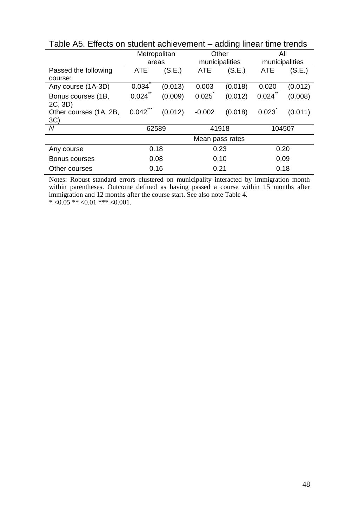|                                 | rapio 7 io. Enocio on otagont aomovomont<br>adding infoar time trondo |         |            |                 |                |         |  |  |  |  |
|---------------------------------|-----------------------------------------------------------------------|---------|------------|-----------------|----------------|---------|--|--|--|--|
|                                 | Metropolitan                                                          |         |            | Other           |                | All     |  |  |  |  |
|                                 | areas                                                                 |         |            | municipalities  | municipalities |         |  |  |  |  |
| Passed the following<br>course: | ATE                                                                   | (S.E.)  | <b>ATE</b> | (S.E.)          | <b>ATE</b>     | (S.E.)  |  |  |  |  |
| Any course (1A-3D)              | 0.034                                                                 | (0.013) | 0.003      | (0.018)         | 0.020          | (0.012) |  |  |  |  |
| Bonus courses (1B,<br>2C, 3D)   | 0.024                                                                 | (0.009) | 0.025      | (0.012)         | 0.024          | (0.008) |  |  |  |  |
| Other courses (1A, 2B,<br>3C)   | ***<br>0.042                                                          | (0.012) | $-0.002$   | (0.018)         | 0.023          | (0.011) |  |  |  |  |
| N                               | 62589                                                                 |         |            | 41918           | 104507         |         |  |  |  |  |
|                                 |                                                                       |         |            | Mean pass rates |                |         |  |  |  |  |
| Any course                      | 0.18                                                                  |         |            | 0.23            | 0.20           |         |  |  |  |  |
| Bonus courses                   |                                                                       | 0.08    |            | 0.10            |                | 0.09    |  |  |  |  |
| Other courses                   | 0.16                                                                  |         |            | 0.21            | 0.18           |         |  |  |  |  |

Table A5. Effects on student achievement – adding linear time trends

Notes: Robust standard errors clustered on municipality interacted by immigration month within parentheses. Outcome defined as having passed a course within 15 months after immigration and 12 months after the course start. See also note Table 4. \*  $<0.05$  \*\*  $<0.01$  \*\*\*  $<0.001$ .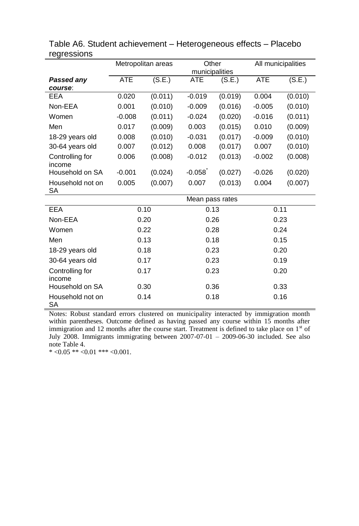|                           | Metropolitan areas |         |                 | Other   |          | All municipalities |  |
|---------------------------|--------------------|---------|-----------------|---------|----------|--------------------|--|
|                           |                    |         | municipalities  |         |          |                    |  |
| <b>Passed any</b>         | <b>ATE</b>         | (S.E.)  | ATE             | (S.E.)  | ATE      | (S.E.)             |  |
| course:                   |                    |         |                 |         |          |                    |  |
| <b>EEA</b>                | 0.020              | (0.011) | $-0.019$        | (0.019) | 0.004    | (0.010)            |  |
| Non-EEA                   | 0.001              | (0.010) | $-0.009$        | (0.016) | $-0.005$ | (0.010)            |  |
| Women                     | $-0.008$           | (0.011) | $-0.024$        | (0.020) | $-0.016$ | (0.011)            |  |
| Men                       | 0.017              | (0.009) | 0.003           | (0.015) | 0.010    | (0.009)            |  |
| 18-29 years old           | 0.008              | (0.010) | $-0.031$        | (0.017) | $-0.009$ | (0.010)            |  |
| 30-64 years old           | 0.007              | (0.012) | 0.008           | (0.017) | 0.007    | (0.010)            |  |
| Controlling for<br>income | 0.006              | (0.008) | $-0.012$        | (0.013) | $-0.002$ | (0.008)            |  |
| Household on SA           | $-0.001$           | (0.024) | $-0.058$        | (0.027) | $-0.026$ | (0.020)            |  |
| Household not on<br>SA    | 0.005              | (0.007) | 0.007           | (0.013) | 0.004    | (0.007)            |  |
|                           |                    |         | Mean pass rates |         |          |                    |  |
| <b>EEA</b>                |                    | 0.10    | 0.13            |         |          | 0.11               |  |
| Non-EEA                   |                    | 0.20    | 0.26            |         | 0.23     |                    |  |
| Women                     |                    | 0.22    | 0.28            |         | 0.24     |                    |  |
| Men                       |                    | 0.13    | 0.18            |         | 0.15     |                    |  |
| 18-29 years old           |                    | 0.18    | 0.23            |         |          | 0.20               |  |
| 30-64 years old           | 0.17               |         | 0.23            |         | 0.19     |                    |  |
| Controlling for<br>income | 0.17               |         | 0.23            |         | 0.20     |                    |  |
| Household on SA           |                    | 0.30    |                 | 0.36    |          | 0.33               |  |
| Household not on<br>SA    |                    | 0.14    | 0.18            |         |          | 0.16               |  |

| Table A6. Student achievement – Heterogeneous effects – Placebo |  |
|-----------------------------------------------------------------|--|
| regressions                                                     |  |

Notes: Robust standard errors clustered on municipality interacted by immigration month within parentheses. Outcome defined as having passed any course within 15 months after immigration and 12 months after the course start. Treatment is defined to take place on  $1<sup>st</sup>$  of July 2008. Immigrants immigrating between 2007-07-01 – 2009-06-30 included. See also note Table 4.

 $* <0.05 ** <0.01 ** <0.001$ .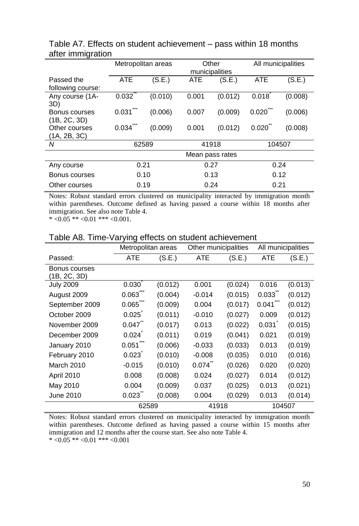|                                 | Metropolitan areas |         | Other<br>municipalities |                 | All municipalities |         |
|---------------------------------|--------------------|---------|-------------------------|-----------------|--------------------|---------|
| Passed the<br>following course: | <b>ATE</b>         | (S.E.)  | <b>ATE</b>              | (S.E.)          | <b>ATE</b>         | (S.E.)  |
| Any course (1A-<br>3D)          | 0.032              | (0.010) | 0.001                   | (0.012)         | 0.018              | (0.008) |
| Bonus courses<br>(1B, 2C, 3D)   | 0.031              | (0.006) | 0.007                   | (0.009)         | 0.020              | (0.006) |
| Other courses<br>(1A, 2B, 3C)   | 0.034              | (0.009) | 0.001                   | (0.012)         | 0.020              | (0.008) |
| Ν                               | 62589              |         | 41918                   |                 | 104507             |         |
|                                 |                    |         |                         | Mean pass rates |                    |         |
| Any course                      | 0.21               |         | 0.27                    |                 | 0.24               |         |
| Bonus courses                   | 0.10               |         | 0.13                    |                 | 0.12               |         |
| Other courses                   | 0.19               |         | 0.24                    |                 | 0.21               |         |

Table A7. Effects on student achievement – pass within 18 months after immigration

Notes: Robust standard errors clustered on municipality interacted by immigration month within parentheses. Outcome defined as having passed a course within 18 months after immigration. See also note Table 4.

 $* < 0.05$  \*\*  $< 0.01$  \*\*\*  $< 0.001$ .

| rapio Alor Timo Varying onoolo on olddom domovomoril |                       |         |                      |         |                    |         |  |
|------------------------------------------------------|-----------------------|---------|----------------------|---------|--------------------|---------|--|
|                                                      | Metropolitan areas    |         | Other municipalities |         | All municipalities |         |  |
| Passed:                                              | <b>ATE</b>            | (S.E.)  | ATE                  | (S.E.)  | <b>ATE</b>         | (S.E.)  |  |
| Bonus courses<br>(1B, 2C, 3D)                        |                       |         |                      |         |                    |         |  |
| <b>July 2009</b>                                     | 0.030                 | (0.012) | 0.001                | (0.024) | 0.016              | (0.013) |  |
| August 2009                                          | 0.063                 | (0.004) | $-0.014$             | (0.015) | 0.033              | (0.012) |  |
| September 2009                                       | 0.065                 | (0.009) | 0.004                | (0.017) | 0.041              | (0.012) |  |
| October 2009                                         | 0.025                 | (0.011) | $-0.010$             | (0.027) | 0.009              | (0.012) |  |
| November 2009                                        | $0.047$ <sup>-1</sup> | (0.017) | 0.013                | (0.022) | 0.031              | (0.015) |  |
| December 2009                                        | 0.024                 | (0.011) | 0.019                | (0.041) | 0.021              | (0.019) |  |
| January 2010                                         | 0.051                 | (0.006) | $-0.033$             | (0.033) | 0.013              | (0.019) |  |
| February 2010                                        | 0.023                 | (0.010) | $-0.008$             | (0.035) | 0.010              | (0.016) |  |
| March 2010                                           | $-0.015$              | (0.010) | 0.074                | (0.026) | 0.020              | (0.020) |  |
| <b>April 2010</b>                                    | 0.008                 | (0.008) | 0.024                | (0.027) | 0.014              | (0.012) |  |
| May 2010                                             | 0.004                 | (0.009) | 0.037                | (0.025) | 0.013              | (0.021) |  |
| June 2010                                            | 0.023                 | (0.008) | 0.004                | (0.029) | 0.013              | (0.014) |  |
|                                                      | 62589                 |         | 41918                |         | 104507             |         |  |

#### Table A8. Time-Varying effects on student achievement

Notes: Robust standard errors clustered on municipality interacted by immigration month within parentheses. Outcome defined as having passed a course within 15 months after immigration and 12 months after the course start. See also note Table 4.  $* < 0.05$  \*\*  $< 0.01$  \*\*\*  $< 0.001$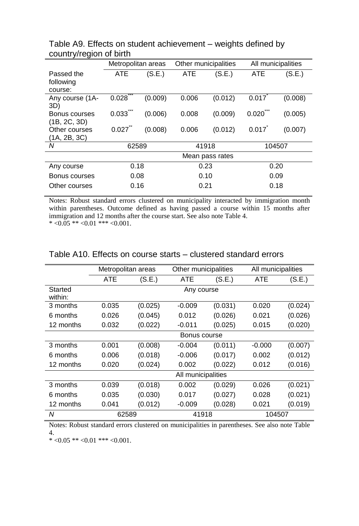|            |         |                                                                   |         | All municipalities                                                    |                |
|------------|---------|-------------------------------------------------------------------|---------|-----------------------------------------------------------------------|----------------|
| <b>ATE</b> | (S.E.)  | <b>ATE</b>                                                        | (S.E.)  | <b>ATE</b>                                                            | (S.E.)         |
|            |         |                                                                   |         |                                                                       |                |
|            |         |                                                                   |         |                                                                       |                |
| 0.028      | (0.009) | 0.006                                                             | (0.012) | 0.017                                                                 | (0.008)        |
|            |         |                                                                   |         |                                                                       |                |
|            |         |                                                                   |         |                                                                       | (0.005)        |
|            |         |                                                                   |         |                                                                       |                |
| 0.027      |         | 0.006                                                             |         |                                                                       | (0.007)        |
|            |         |                                                                   |         |                                                                       |                |
|            |         | 41918                                                             |         | 104507                                                                |                |
|            |         |                                                                   |         |                                                                       |                |
|            |         | 0.23                                                              |         | 0.20                                                                  |                |
| 0.08       |         | 0.10                                                              |         | 0.09                                                                  |                |
|            |         |                                                                   |         | 0.18                                                                  |                |
|            | 0.033   | Metropolitan areas<br>(0.006)<br>(0.008)<br>62589<br>0.18<br>0.16 | 0.008   | Other municipalities<br>(0.009)<br>(0.012)<br>Mean pass rates<br>0.21 | 0.020<br>0.017 |

Table A9. Effects on student achievement – weights defined by country/region of birth

Notes: Robust standard errors clustered on municipality interacted by immigration month within parentheses. Outcome defined as having passed a course within 15 months after immigration and 12 months after the course start. See also note Table 4.

 $* < 0.05$  \*\*  $< 0.01$  \*\*\*  $< 0.001$ .

|                    | Metropolitan areas |         | Other municipalities |         |          | All municipalities |  |
|--------------------|--------------------|---------|----------------------|---------|----------|--------------------|--|
|                    | <b>ATE</b>         | (S.E.)  | ATE                  | (S.E.)  | ATE      | (S.E.)             |  |
| Started<br>within: |                    |         | Any course           |         |          |                    |  |
| 3 months           | 0.035              | (0.025) | $-0.009$             | (0.031) | 0.020    | (0.024)            |  |
| 6 months           | 0.026              | (0.045) | 0.012                | (0.026) | 0.021    | (0.026)            |  |
| 12 months          | 0.032              | (0.022) | $-0.011$             | (0.025) | 0.015    | (0.020)            |  |
|                    | Bonus course       |         |                      |         |          |                    |  |
| 3 months           | 0.001              | (0.008) | $-0.004$             | (0.011) | $-0.000$ | (0.007)            |  |
| 6 months           | 0.006              | (0.018) | $-0.006$             | (0.017) | 0.002    | (0.012)            |  |
| 12 months          | 0.020              | (0.024) | 0.002                | (0.022) | 0.012    | (0.016)            |  |
|                    |                    |         | All municipalities   |         |          |                    |  |
| 3 months           | 0.039              | (0.018) | 0.002                | (0.029) | 0.026    | (0.021)            |  |
| 6 months           | 0.035              | (0.030) | 0.017                | (0.027) | 0.028    | (0.021)            |  |
| 12 months          | 0.041              | (0.012) | $-0.009$             | (0.028) | 0.021    | (0.019)            |  |
| Ν                  | 62589              |         | 41918                |         | 104507   |                    |  |

#### Table A10. Effects on course starts – clustered standard errors

Notes: Robust standard errors clustered on municipalities in parentheses. See also note Table 4.

 $* < 0.05$  \*\*  $< 0.01$  \*\*\*  $< 0.001$ .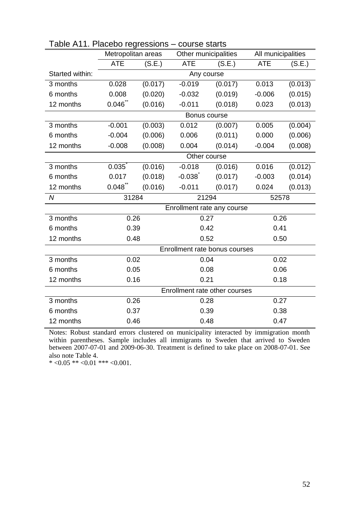|                 | Metropolitan areas |                | Other municipalities |                               |            | All municipalities |  |  |
|-----------------|--------------------|----------------|----------------------|-------------------------------|------------|--------------------|--|--|
|                 | <b>ATE</b>         | (S.E.)         | <b>ATE</b>           | (S.E.)                        | <b>ATE</b> | (S.E.)             |  |  |
| Started within: |                    |                | Any course           |                               |            |                    |  |  |
| 3 months        | 0.028              | (0.017)        | $-0.019$             | (0.017)                       | 0.013      | (0.013)            |  |  |
| 6 months        | 0.008              | (0.020)        | $-0.032$             | (0.019)                       | $-0.006$   | (0.015)            |  |  |
| 12 months       | 0.046              | (0.016)        | $-0.011$             | (0.018)                       | 0.023      | (0.013)            |  |  |
|                 |                    |                | Bonus course         |                               |            |                    |  |  |
| 3 months        | $-0.001$           | (0.003)        | 0.012                | (0.007)                       | 0.005      | (0.004)            |  |  |
| 6 months        | $-0.004$           | (0.006)        | 0.006                | (0.011)                       | 0.000      | (0.006)            |  |  |
| 12 months       | $-0.008$           | (0.008)        | 0.004                | (0.014)                       | $-0.004$   | (0.008)            |  |  |
|                 |                    |                | Other course         |                               |            |                    |  |  |
| 3 months        | 0.035              | (0.016)        | $-0.018$             | (0.016)                       | 0.016      | (0.012)            |  |  |
| 6 months        | 0.017              | (0.018)        | $-0.038$             | (0.017)                       | $-0.003$   | (0.014)            |  |  |
| 12 months       | 0.048              | (0.016)        | $-0.011$             | (0.017)                       | 0.024      | (0.013)            |  |  |
| N               |                    | 31284<br>21294 |                      |                               | 52578      |                    |  |  |
|                 |                    |                |                      | Enrollment rate any course    |            |                    |  |  |
| 3 months        | 0.26               |                | 0.27                 |                               |            | 0.26               |  |  |
| 6 months        | 0.39               |                | 0.42                 |                               | 0.41       |                    |  |  |
| 12 months       | 0.48               |                | 0.52                 |                               | 0.50       |                    |  |  |
|                 |                    |                |                      | Enrollment rate bonus courses |            |                    |  |  |
| 3 months        | 0.02               |                |                      | 0.04                          |            | 0.02               |  |  |
| 6 months        | 0.05               |                |                      | 0.08                          |            | 0.06               |  |  |
| 12 months       | 0.16<br>0.21       |                |                      |                               | 0.18       |                    |  |  |
|                 |                    |                |                      | Enrollment rate other courses |            |                    |  |  |
| 3 months        | 0.26               |                |                      | 0.28                          |            | 0.27               |  |  |
| 6 months        | 0.37               |                | 0.39                 |                               | 0.38       |                    |  |  |
| 12 months       | 0.46               |                | 0.48                 |                               | 0.47       |                    |  |  |

|  |  | Table A11. Placebo regressions - course starts |  |
|--|--|------------------------------------------------|--|
|--|--|------------------------------------------------|--|

Notes: Robust standard errors clustered on municipality interacted by immigration month within parentheses. Sample includes all immigrants to Sweden that arrived to Sweden between 2007-07-01 and 2009-06-30. Treatment is defined to take place on 2008-07-01. See also note Table 4.

\*  $<0.05$  \*\*  $<0.01$  \*\*\*  $<0.001$ .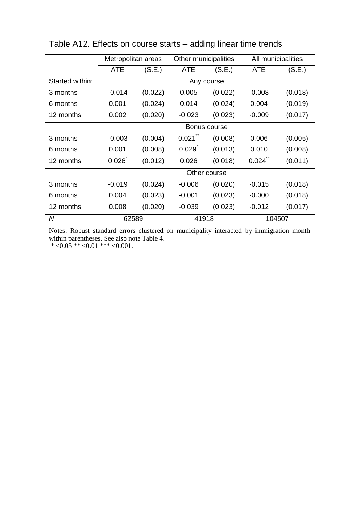|                 | Metropolitan areas |         | Other municipalities |              | All municipalities |         |
|-----------------|--------------------|---------|----------------------|--------------|--------------------|---------|
|                 | <b>ATE</b>         | (S.E.)  | ATE                  | (S.E.)       | ATE                | (S.E.)  |
| Started within: |                    |         |                      | Any course   |                    |         |
| 3 months        | $-0.014$           | (0.022) | 0.005                | (0.022)      | $-0.008$           | (0.018) |
| 6 months        | 0.001              | (0.024) | 0.014                | (0.024)      | 0.004              | (0.019) |
| 12 months       | 0.002              | (0.020) | $-0.023$             | (0.023)      | $-0.009$           | (0.017) |
|                 | Bonus course       |         |                      |              |                    |         |
| 3 months        | $-0.003$           | (0.004) | 0.021                | (0.008)      | 0.006              | (0.005) |
| 6 months        | 0.001              | (0.008) | 0.029                | (0.013)      | 0.010              | (0.008) |
| 12 months       | 0.026              | (0.012) | 0.026                | (0.018)      | 0.024              | (0.011) |
|                 |                    |         |                      | Other course |                    |         |
| 3 months        | $-0.019$           | (0.024) | $-0.006$             | (0.020)      | $-0.015$           | (0.018) |
| 6 months        | 0.004              | (0.023) | $-0.001$             | (0.023)      | $-0.000$           | (0.018) |
| 12 months       | 0.008              | (0.020) | $-0.039$             | (0.023)      | $-0.012$           | (0.017) |
| N               | 62589              |         | 41918                |              | 104507             |         |

Table A12. Effects on course starts – adding linear time trends

Notes: Robust standard errors clustered on municipality interacted by immigration month within parentheses. See also note Table 4.

 $* < 0.05 ** < 0.01 ** < 0.001$ .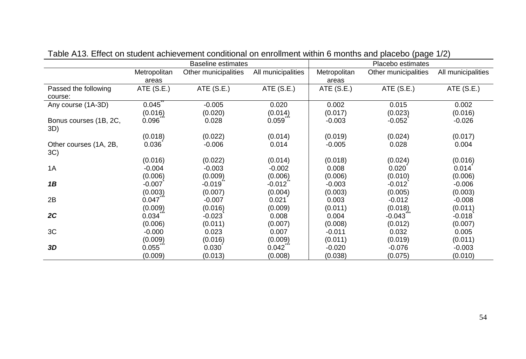|                               | <b>Baseline estimates</b> |                      |                    | Placebo estimates |                      |                    |  |
|-------------------------------|---------------------------|----------------------|--------------------|-------------------|----------------------|--------------------|--|
|                               | Metropolitan              | Other municipalities | All municipalities | Metropolitan      | Other municipalities | All municipalities |  |
|                               | areas                     |                      |                    | areas             |                      |                    |  |
| Passed the following          | ATE (S.E.)                | ATE (S.E.)           | ATE (S.E.)         | ATE (S.E.)        | ATE (S.E.)           | ATE (S.E.)         |  |
| course:                       |                           |                      |                    |                   |                      |                    |  |
| Any course (1A-3D)            | 0.045                     | $-0.005$             | 0.020              | 0.002             | 0.015                | 0.002              |  |
|                               | (0.016)                   | (0.020)              | (0.014)            | (0.017)           | (0.023)              | (0.016)            |  |
| Bonus courses (1B, 2C,<br>3D) | 0.096                     | 0.028                | 0.059              | $-0.003$          | $-0.052$             | $-0.026$           |  |
|                               | (0.018)                   | (0.022)              | (0.014)            | (0.019)           | (0.024)              | (0.017)            |  |
| Other courses (1A, 2B,<br>3C) | 0.036                     | $-0.006$             | 0.014              | $-0.005$          | 0.028                | 0.004              |  |
|                               | (0.016)                   | (0.022)              | (0.014)            | (0.018)           | (0.024)              | (0.016)            |  |
| 1A                            | $-0.004$                  | $-0.003$             | $-0.002$           | 0.008             | 0.020                | 0.014              |  |
|                               | (0.006)                   | (0.009)              | (0.006)            | (0.006)           | (0.010)              | (0.006)            |  |
| 1B                            | $-0.007$                  | $-0.019$             | $-0.012$           | $-0.003$          | $-0.012$             | $-0.006$           |  |
|                               | (0.003)                   | (0.007)              | (0.004)            | (0.003)           | (0.005)              | (0.003)            |  |
| 2B                            | 0.047                     | $-0.007$             | 0.021              | 0.003             | $-0.012$             | $-0.008$           |  |
|                               | (0.009)                   | (0.016)              | (0.009)            | (0.011)           | (0.018)              | (0.011)            |  |
| 2C                            | 0.034                     | $-0.023$             | 0.008              | 0.004             | $-0.043$             | $-0.018$           |  |
|                               | (0.006)                   | (0.011)              | (0.007)            | (0.008)           | (0.012)              | (0.007)            |  |
| 3C                            | $-0.000$                  | 0.023                | 0.007              | $-0.011$          | 0.032                | 0.005              |  |
|                               | (0.009)                   | (0.016)              | (0.009)            | (0.011)           | (0.019)              | (0.011)            |  |
| 3D                            | 0.055                     | 0.030                | 0.042              | $-0.020$          | $-0.076$             | $-0.003$           |  |
|                               | (0.009)                   | (0.013)              | (0.008)            | (0.038)           | (0.075)              | (0.010)            |  |

| Table A13. Effect on student achievement conditional on enrollment within 6 months and placebo (page 1/2) |  |
|-----------------------------------------------------------------------------------------------------------|--|
|-----------------------------------------------------------------------------------------------------------|--|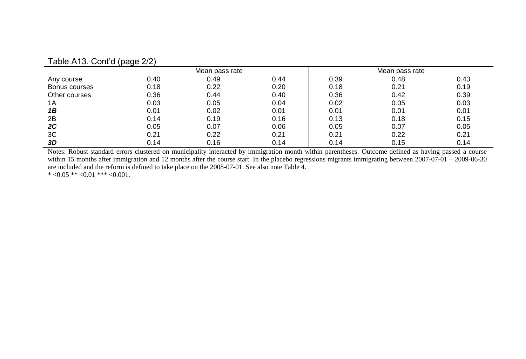|               |      | Mean pass rate |      |      | Mean pass rate |      |  |
|---------------|------|----------------|------|------|----------------|------|--|
| Any course    | 0.40 | 0.49           | 0.44 | 0.39 | 0.48           | 0.43 |  |
| Bonus courses | 0.18 | 0.22           | 0.20 | 0.18 | 0.21           | 0.19 |  |
| Other courses | 0.36 | 0.44           | 0.40 | 0.36 | 0.42           | 0.39 |  |
| 1A            | 0.03 | 0.05           | 0.04 | 0.02 | 0.05           | 0.03 |  |
| 1B            | 0.01 | 0.02           | 0.01 | 0.01 | 0.01           | 0.01 |  |
| 2B            | 0.14 | 0.19           | 0.16 | 0.13 | 0.18           | 0.15 |  |
| 2C            | 0.05 | 0.07           | 0.06 | 0.05 | 0.07           | 0.05 |  |
| 3C            | 0.21 | 0.22           | 0.21 | 0.21 | 0.22           | 0.21 |  |
| 3D            | 0.14 | 0.16           | 0.14 | 0.14 | 0.15           | 0.14 |  |

#### Table A13. Cont'd (page 2/2)

Notes: Robust standard errors clustered on municipality interacted by immigration month within parentheses. Outcome defined as having passed a course within 15 months after immigration and 12 months after the course start. In the placebo regressions migrants immigrating between 2007-07-01 – 2009-06-30 are included and the reform is defined to take place on the 2008-07-01. See also note Table 4. \*  $<0.05$  \*\*  $<0.01$  \*\*\*  $<0.001$ .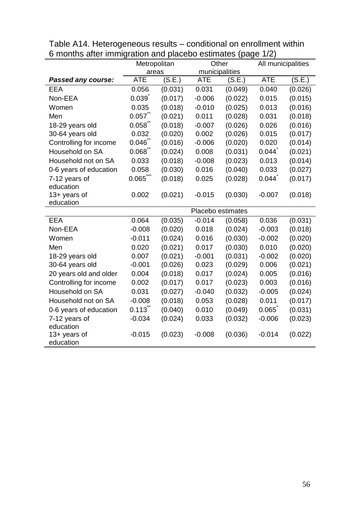|                           | Metropolitan          |         | Other          |         | All municipalities |         |  |
|---------------------------|-----------------------|---------|----------------|---------|--------------------|---------|--|
|                           | areas                 |         | municipalities |         |                    |         |  |
| Passed any course:        | <b>ATE</b>            | (S.E.)  | ATE            | (S.E.)  | <b>ATE</b>         | (S.E.)  |  |
| EEA                       | 0.056                 | (0.031) | 0.031          | (0.049) | 0.040              | (0.026) |  |
| Non-EEA                   | 0.039                 | (0.017) | $-0.006$       | (0.022) | 0.015              | (0.015) |  |
| Women                     | 0.035                 | (0.018) | $-0.010$       | (0.025) | 0.013              | (0.016) |  |
| Men                       | 0.057                 | (0.021) | 0.011          | (0.028) | 0.031              | (0.018) |  |
| 18-29 years old           | 0.058                 | (0.018) | $-0.007$       | (0.026) | 0.026              | (0.016) |  |
| 30-64 years old           | 0.032                 | (0.020) | 0.002          | (0.026) | 0.015              | (0.017) |  |
| Controlling for income    | 0.046                 | (0.016) | $-0.006$       | (0.020) | 0.020              | (0.014) |  |
| Household on SA           | 0.068                 | (0.024) | 0.008          | (0.031) | 0.044              | (0.021) |  |
| Household not on SA       | 0.033                 | (0.018) | $-0.008$       | (0.023) | 0.013              | (0.014) |  |
| 0-6 years of education    | 0.058                 | (0.030) | 0.016          | (0.040) | 0.033              | (0.027) |  |
| 7-12 years of             | $0.065$ **            | (0.018) | 0.025          | (0.028) | 0.044              | (0.017) |  |
| education                 |                       |         |                |         |                    |         |  |
| 13+ years of              | 0.002                 | (0.021) | $-0.015$       | (0.030) | $-0.007$           | (0.018) |  |
| education                 | Placebo estimates     |         |                |         |                    |         |  |
|                           |                       |         |                |         |                    |         |  |
| <b>EEA</b>                | 0.064                 | (0.035) | $-0.014$       | (0.058) | 0.036              | (0.031) |  |
| Non-EEA                   | $-0.008$              | (0.020) | 0.018          | (0.024) | $-0.003$           | (0.018) |  |
| Women                     | $-0.011$              | (0.024) | 0.016          | (0.030) | $-0.002$           | (0.020) |  |
| Men                       | 0.020                 | (0.021) | 0.017          | (0.030) | 0.010              | (0.020) |  |
| 18-29 years old           | 0.007                 | (0.021) | $-0.001$       | (0.031) | $-0.002$           | (0.020) |  |
| 30-64 years old           | $-0.001$              | (0.026) | 0.023          | (0.029) | 0.006              | (0.021) |  |
| 20 years old and older    | 0.004                 | (0.018) | 0.017          | (0.024) | 0.005              | (0.016) |  |
| Controlling for income    | 0.002                 | (0.017) | 0.017          | (0.023) | 0.003              | (0.016) |  |
| Household on SA           | 0.031                 | (0.027) | $-0.040$       | (0.032) | $-0.005$           | (0.024) |  |
| Household not on SA       | $-0.008$              | (0.018) | 0.053          | (0.028) | 0.011              | (0.017) |  |
| 0-6 years of education    | $0.113$ <sup>**</sup> | (0.040) | 0.010          | (0.049) | 0.065              | (0.031) |  |
| 7-12 years of             | $-0.034$              | (0.024) | 0.033          | (0.032) | $-0.006$           | (0.023) |  |
| education                 |                       |         |                |         |                    |         |  |
| 13+ years of<br>education | $-0.015$              | (0.023) | $-0.008$       | (0.036) | $-0.014$           | (0.022) |  |

Table A14. Heterogeneous results – conditional on enrollment within 6 months after immigration and placebo estimates (page 1/2)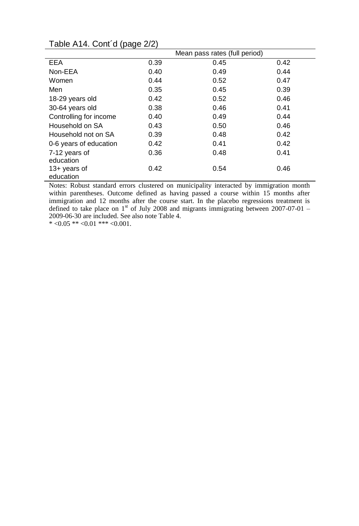|                        | Mean pass rates (full period) |      |      |  |  |
|------------------------|-------------------------------|------|------|--|--|
| EEA                    | 0.39                          | 0.45 | 0.42 |  |  |
| Non-EEA                | 0.40                          | 0.49 | 0.44 |  |  |
| Women                  | 0.44                          | 0.52 | 0.47 |  |  |
| Men                    | 0.35                          | 0.45 | 0.39 |  |  |
| 18-29 years old        | 0.42                          | 0.52 | 0.46 |  |  |
| 30-64 years old        | 0.38                          | 0.46 | 0.41 |  |  |
| Controlling for income | 0.40                          | 0.49 | 0.44 |  |  |
| Household on SA        | 0.43                          | 0.50 | 0.46 |  |  |
| Household not on SA    | 0.39                          | 0.48 | 0.42 |  |  |
| 0-6 years of education | 0.42                          | 0.41 | 0.42 |  |  |
| 7-12 years of          | 0.36                          | 0.48 | 0.41 |  |  |
| education              |                               |      |      |  |  |
| $13+$ years of         | 0.42                          | 0.54 | 0.46 |  |  |
| education              |                               |      |      |  |  |

## Table A14. Cont´d (page 2/2)

Notes: Robust standard errors clustered on municipality interacted by immigration month within parentheses. Outcome defined as having passed a course within 15 months after immigration and 12 months after the course start. In the placebo regressions treatment is defined to take place on  $1<sup>st</sup>$  of July 2008 and migrants immigrating between 2007-07-01 – 2009-06-30 are included. See also note Table 4.

 $* <0.05 ** <0.01 ** <0.001$ .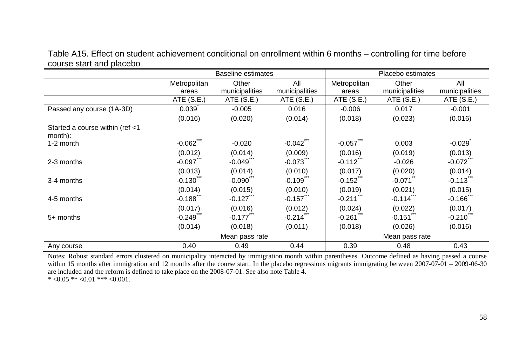Table A15. Effect on student achievement conditional on enrollment within 6 months – controlling for time before course start and placebo

|                                            |              | Baseline estimates    |                        |                        | Placebo estimates |                |  |
|--------------------------------------------|--------------|-----------------------|------------------------|------------------------|-------------------|----------------|--|
|                                            | Metropolitan | Other                 | All                    | Metropolitan           | Other             | All            |  |
|                                            | areas        | municipalities        | municipalities         | areas                  | municipalities    | municipalities |  |
|                                            | ATE $(S.E.)$ | ATE(S.E.)             | ATE(S.E.)              | ATE(S.E.)              | ATE $(S.E.)$      | ATE $(S.E.)$   |  |
| Passed any course (1A-3D)                  | 0.039        | $-0.005$              | 0.016                  | $-0.006$               | 0.017             | $-0.001$       |  |
|                                            | (0.016)      | (0.020)               | (0.014)                | (0.018)                | (0.023)           | (0.016)        |  |
| Started a course within (ref <1<br>month): |              |                       |                        |                        |                   |                |  |
| 1-2 month                                  | $-0.062$     | $-0.020$              | $-0.042$               | $-0.057$               | 0.003             | $-0.029$       |  |
|                                            | (0.012)      | (0.014)               | (0.009)                | (0.016)                | (0.019)           | (0.013)        |  |
| 2-3 months                                 | $-0.097$     | $-0.049$              | -0.073                 | $-0.112$               | $-0.026$          | $-0.072$       |  |
|                                            | (0.013)      | (0.014)               | (0.010)                | (0.017)                | (0.020)           | (0.014)        |  |
| 3-4 months                                 | $-0.130$     | $-0.090$ <sup>"</sup> | $-0.109$ <sup>-1</sup> | $-0.152$               | $-0.071$          | $-0.113$       |  |
|                                            | (0.014)      | (0.015)               | (0.010)                | (0.019)                | (0.021)           | (0.015)        |  |
| 4-5 months                                 | $-0.188$     | $-0.127$              | -0.157                 | $-0.211$ <sup>-1</sup> | $-0.114$          | $-0.166$       |  |
|                                            | (0.017)      | (0.016)               | (0.012)                | (0.024)                | (0.022)           | (0.017)        |  |
| $5+$ months                                | $-0.249$     | $-0.177$              | -0.214                 | $-0.261$               | $-0.151$          | $-0.210$       |  |
|                                            | (0.014)      | (0.018)               | (0.011)                | (0.018)                | (0.026)           | (0.016)        |  |
|                                            |              | Mean pass rate        |                        |                        | Mean pass rate    |                |  |
| Any course                                 | 0.40         | 0.49                  | 0.44                   | 0.39                   | 0.48              | 0.43           |  |

Notes: Robust standard errors clustered on municipality interacted by immigration month within parentheses. Outcome defined as having passed a course within 15 months after immigration and 12 months after the course start. In the placebo regressions migrants immigrating between  $2007-07-01 - 2009-06-30$ are included and the reform is defined to take place on the 2008-07-01. See also note Table 4. \*  $<0.05$  \*\*  $<0.01$  \*\*\*  $<0.001$ .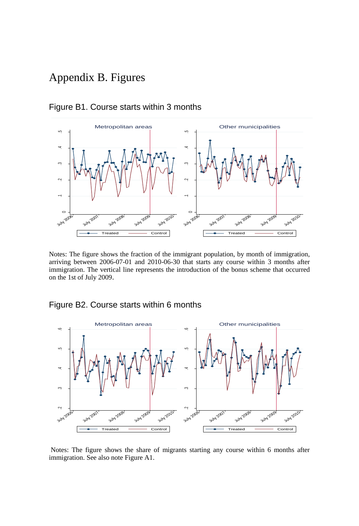## Appendix B. Figures



#### Figure B1. Course starts within 3 months

Notes: The figure shows the fraction of the immigrant population, by month of immigration, arriving between 2006-07-01 and 2010-06-30 that starts any course within 3 months after immigration. The vertical line represents the introduction of the bonus scheme that occurred on the 1st of July 2009.

#### Figure B2. Course starts within 6 months



Notes: The figure shows the share of migrants starting any course within 6 months after immigration. See also note Figure A1.